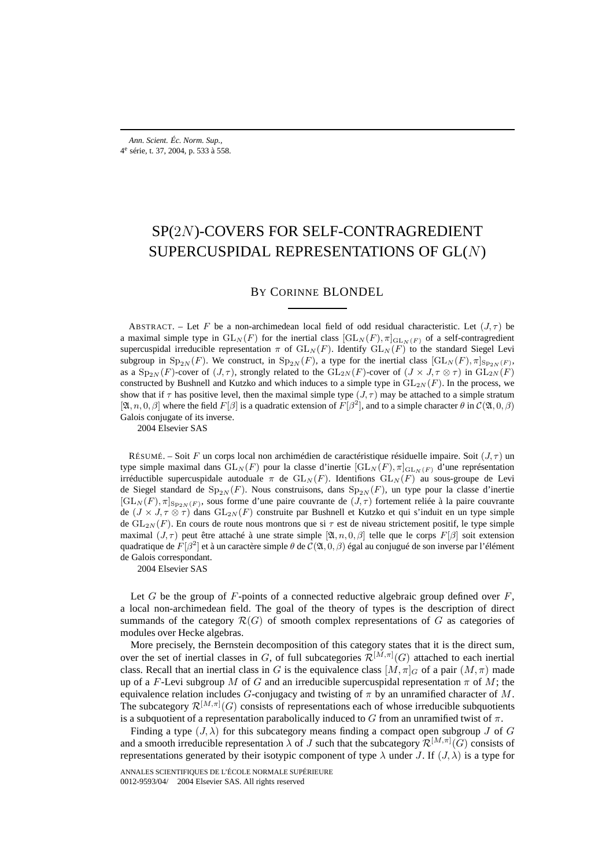# SP(2N)-COVERS FOR SELF-CONTRAGREDIENT SUPERCUSPIDAL REPRESENTATIONS OF GL(N)

BY CORINNE BLONDEL

ABSTRACT. – Let F be a non-archimedean local field of odd residual characteristic. Let  $(J, \tau)$  be a maximal simple type in  $GL_N(F)$  for the inertial class  $[GL_N(F), \pi]_{GL_N(F)}$  of a self-contragredient supercuspidal irreducible representation  $\pi$  of  $GL_N(F)$ . Identify  $GL_N(F)$  to the standard Siegel Levi subgroup in  $\text{Sp}_{2N}(F)$ . We construct, in  $\text{Sp}_{2N}(F)$ , a type for the inertial class  $[\text{GL}_N(F), \pi]_{\text{Sp}_{2N}(F)}$ , as a Sp<sub>2N</sub> (F)-cover of  $(J, \tau)$ , strongly related to the GL<sub>2N</sub> (F)-cover of  $(J \times J, \tau \otimes \tau)$  in GL<sub>2N</sub> (F) constructed by Bushnell and Kutzko and which induces to a simple type in  $GL_{2N}(F)$ . In the process, we show that if  $\tau$  has positive level, then the maximal simple type  $(J, \tau)$  may be attached to a simple stratum  $[\mathfrak{A}, n, 0, \beta]$  where the field  $F[\beta]$  is a quadratic extension of  $F[\beta^2]$ , and to a simple character  $\theta$  in  $\mathcal{C}(\mathfrak{A}, 0, \beta)$ Galois conjugate of its inverse.

2004 Elsevier SAS

RÉSUMÉ. – Soit F un corps local non archimédien de caractéristique résiduelle impaire. Soit  $(J, \tau)$  un type simple maximal dans  $GL_N(F)$  pour la classe d'inertie  $[GL_N(F), \pi]_{GL_N(F)}$  d'une représentation irréductible supercuspidale autoduale  $\pi$  de  $GL_N(F)$ . Identifions  $GL_N(F)$  au sous-groupe de Levi de Siegel standard de  $Sp_{2N}(F)$ . Nous construisons, dans  $Sp_{2N}(F)$ , un type pour la classe d'inertie  $[\operatorname{GL}_N(F), \pi]_{\operatorname{Sp}_{2N}(F)}$ , sous forme d'une paire couvrante de  $(J, \tau)$  fortement reliée à la paire couvrante de ( $J \times J$ ,  $\tau \otimes \tau$ ) dans  $GL_{2N}(F)$  construite par Bushnell et Kutzko et qui s'induit en un type simple de  $GL_{2N}(F)$ . En cours de route nous montrons que si  $\tau$  est de niveau strictement positif, le type simple maximal  $(J, \tau)$  peut être attaché à une strate simple  $[\mathfrak{A}, n, 0, \beta]$  telle que le corps  $F[\beta]$  soit extension quadratique de  $F[\beta^2]$  et à un caractère simple  $\theta$  de  $C(\mathfrak{A}, 0, \beta)$  égal au conjugué de son inverse par l'élément de Galois correspondant.

2004 Elsevier SAS

Let G be the group of  $F$ -points of a connected reductive algebraic group defined over  $F$ , a local non-archimedean field. The goal of the theory of types is the description of direct summands of the category  $\mathcal{R}(G)$  of smooth complex representations of G as categories of modules over Hecke algebras.

More precisely, the Bernstein decomposition of this category states that it is the direct sum, over the set of inertial classes in G, of full subcategories  $\mathcal{R}^{[M,\pi]}(G)$  attached to each inertial class. Recall that an inertial class in G is the equivalence class  $[M, \pi]_G$  of a pair  $(M, \pi)$  made up of a F-Levi subgroup M of G and an irreducible supercuspidal representation  $\pi$  of M; the equivalence relation includes G-conjugacy and twisting of  $\pi$  by an unramified character of M. The subcategory  $\mathcal{R}^{[M,\pi]}(G)$  consists of representations each of whose irreducible subquotients is a subquotient of a representation parabolically induced to G from an unramified twist of  $\pi$ .

Finding a type  $(J, \lambda)$  for this subcategory means finding a compact open subgroup J of G and a smooth irreducible representation  $\lambda$  of  $J$  such that the subcategory  $\mathcal{R}^{[M,\pi]}(G)$  consists of representations generated by their isotypic component of type  $\lambda$  under J. If  $(J, \lambda)$  is a type for

ANNALES SCIENTIFIQUES DE L'ÉCOLE NORMALE SUPÉRIEURE 0012-9593/04/© 2004 Elsevier SAS. All rights reserved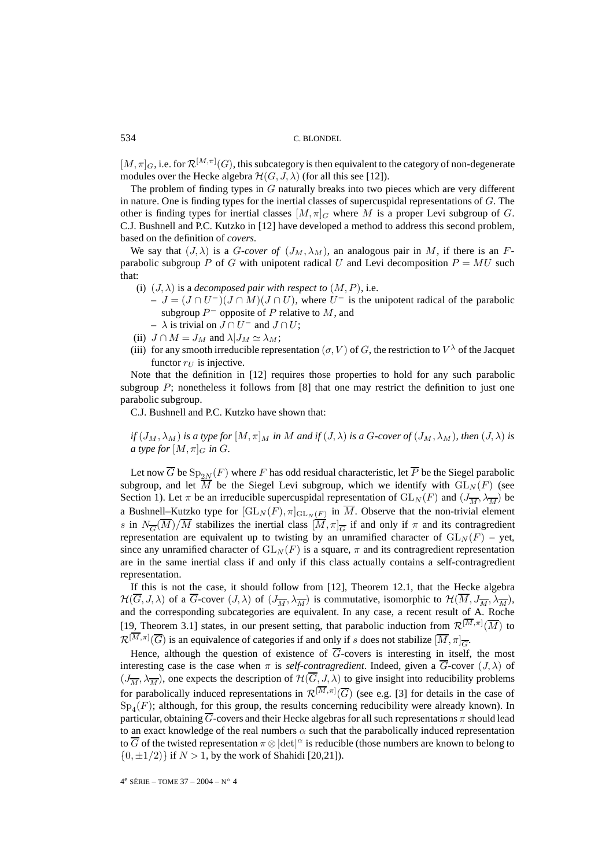$[M, \pi]_G$ , i.e. for  $\mathcal{R}^{[M, \pi]}(G)$ , this subcategory is then equivalent to the category of non-degenerate modules over the Hecke algebra  $\mathcal{H}(G, J, \lambda)$  (for all this see [12]).

The problem of finding types in G naturally breaks into two pieces which are very different in nature. One is finding types for the inertial classes of supercuspidal representations of  $G$ . The other is finding types for inertial classes  $[M, \pi]_G$  where M is a proper Levi subgroup of G. C.J. Bushnell and P.C. Kutzko in [12] have developed a method to address this second problem, based on the definition of *covers*.

We say that  $(J, \lambda)$  is a *G-cover of*  $(J_M, \lambda_M)$ , an analogous pair in M, if there is an Fparabolic subgroup P of G with unipotent radical U and Levi decomposition  $P = MU$  such that:

- (i)  $(J, \lambda)$  is a *decomposed pair with respect to*  $(M, P)$ , i.e.
	- $-J = (J \cap U^-)(J \cap M)(J \cap U)$ , where  $U^-$  is the unipotent radical of the parabolic subgroup  $P^-$  opposite of P relative to M, and
	- $\lambda$  is trivial on  $J \cap U^-$  and  $J \cap U$ ;
- (ii)  $J \cap M = J_M$  and  $\lambda | J_M \simeq \lambda_M$ ;
- (iii) for any smooth irreducible representation  $(\sigma, V)$  of G, the restriction to  $V^{\lambda}$  of the Jacquet functor  $r_U$  is injective.

Note that the definition in [12] requires those properties to hold for any such parabolic subgroup  $P$ ; nonetheless it follows from [8] that one may restrict the definition to just one parabolic subgroup.

C.J. Bushnell and P.C. Kutzko have shown that:

if 
$$
(J_M, \lambda_M)
$$
 is a type for  $[M, \pi]_M$  in M and if  $(J, \lambda)$  is a G-cover of  $(J_M, \lambda_M)$ , then  $(J, \lambda)$  is a type for  $[M, \pi]_G$  in G.

Let now  $\overline{G}$  be  $Sp_{2N}(F)$  where F has odd residual characteristic, let  $\overline{P}$  be the Siegel parabolic subgroup, and let  $\overline{M}$  be the Siegel Levi subgroup, which we identify with  $GL_N(F)$  (see Section 1). Let  $\pi$  be an irreducible supercuspidal representation of  $GL_N(F)$  and  $(J_{\overline{M}}, \lambda_{\overline{M}})$  be a Bushnell–Kutzko type for  $[\mathrm{GL}_N(F), \pi]_{\mathrm{GL}_N(F)}$  in  $\overline{M}$ . Observe that the non-trivial element s in  $N_{\overline{G}}(M)/M$  stabilizes the inertial class  $[M, \pi]_{\overline{G}}$  if and only if  $\pi$  and its contragredient representation are equivalent up to twisting by an unramified character of  $GL_N(F)$  – yet, since any unramified character of  $GL_N(F)$  is a square,  $\pi$  and its contragredient representation are in the same inertial class if and only if this class actually contains a self-contragredient representation.

If this is not the case, it should follow from [12], Theorem 12.1, that the Hecke algebra  $\mathcal{H}(\overline{G}, J, \lambda)$  of a  $\overline{G}$ -cover  $(J, \lambda)$  of  $(J_{\overline{M}}, \lambda_{\overline{M}})$  is commutative, isomorphic to  $\mathcal{H}(\overline{M}, J_{\overline{M}}, \lambda_{\overline{M}})$ , and the corresponding subcategories are equivalent. In any case, a recent result of A. Roche [19, Theorem 3.1] states, in our present setting, that parabolic induction from  $\mathcal{R}^{[M,\pi]}(\overline{M})$  to  $\mathcal{R}^{[M,\pi]}(\overline{G})$  is an equivalence of categories if and only if s does not stabilize  $[\overline{M}, \pi]_{\overline{G}}$ .

Hence, although the question of existence of  $\overline{G}$ -covers is interesting in itself, the most interesting case is the case when  $\pi$  is *self-contragredient*. Indeed, given a  $\overline{G}$ -cover  $(J, \lambda)$  of  $(J_{\overline{M}}, \lambda_{\overline{M}})$ , one expects the description of  $\mathcal{H}(\overline{G}, J, \lambda)$  to give insight into reducibility problems for parabolically induced representations in  $\mathcal{R}^{[M,\pi]}(\overline{G})$  (see e.g. [3] for details in the case of  $Sp_4(F)$ ; although, for this group, the results concerning reducibility were already known). In particular, obtaining  $\overline{G}$ -covers and their Hecke algebras for all such representations  $\pi$  should lead to an exact knowledge of the real numbers  $\alpha$  such that the parabolically induced representation to  $\overline{G}$  of the twisted representation  $\pi\otimes|\text{det}|^\alpha$  is reducible (those numbers are known to belong to  $\{0, \pm 1/2\}$  if  $N > 1$ , by the work of Shahidi [20,21]).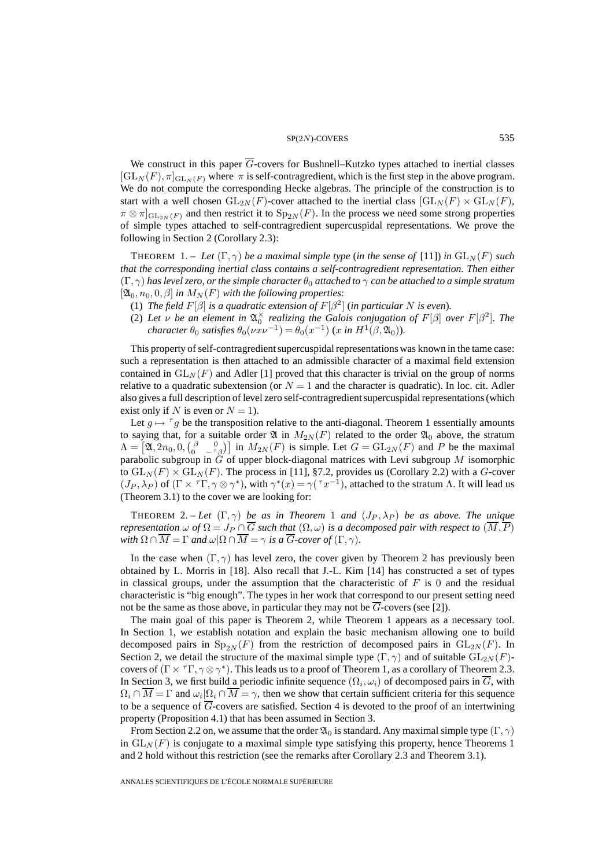#### $SP(2N)$ -COVERS 535

We construct in this paper  $\overline{G}$ -covers for Bushnell–Kutzko types attached to inertial classes  $[\operatorname{GL}_N(F), \pi]_{\operatorname{GL}_N(F)}$  where  $\pi$  is self-contragredient, which is the first step in the above program. We do not compute the corresponding Hecke algebras. The principle of the construction is to start with a well chosen  $GL_{2N}(F)$ -cover attached to the inertial class  $[GL_{N}(F) \times GL_{N}(F)$ ,  $\pi \otimes \pi|_{\mathrm{GL}_{2N}(F)}$  and then restrict it to  $\mathrm{Sp}_{2N}(F)$ . In the process we need some strong properties of simple types attached to self-contragredient supercuspidal representations. We prove the following in Section 2 (Corollary 2.3):

**THEOREM** 1. – Let  $(\Gamma, \gamma)$  be a maximal simple type (in the sense of [11]) in  $GL_N(F)$  such *that the corresponding inertial class contains a self-contragredient representation. Then either*  $(\Gamma, \gamma)$  *has level zero, or the simple character*  $\theta_0$  *attached to*  $\gamma$  *can be attached to a simple stratum*  $[\mathfrak{A}_0, n_0, 0, \beta]$  *in*  $M_N(F)$  *with the following properties:* 

- (1) *The field*  $F[\beta]$  *is a quadratic extension of*  $F[\beta^2]$  (*in particular* N *is even*).
- (2) Let  $\nu$  be an element in  $\mathfrak{A}_{0}^{\times}$  realizing the Galois conjugation of  $F[\beta]$  over  $F[\beta^2]$ . The *character*  $\theta_0$  *satisfies*  $\theta_0(\nu x\nu^{-1}) = \theta_0(x^{-1})$  (x in  $H^1(\beta, \mathfrak{A}_0)$ ).

This property of self-contragredient supercuspidal representations was known in the tame case: such a representation is then attached to an admissible character of a maximal field extension contained in  $GL_N(F)$  and Adler [1] proved that this character is trivial on the group of norms relative to a quadratic subextension (or  $N = 1$  and the character is quadratic). In loc. cit. Adler also gives a full description of level zero self-contragredient supercuspidal representations (which exist only if N is even or  $N = 1$ ).

Let  $g \mapsto \tau g$  be the transposition relative to the anti-diagonal. Theorem 1 essentially amounts to saying that, for a suitable order  $\mathfrak A$  in  $M_{2N}(F)$  related to the order  $\mathfrak A_0$  above, the stratum  $\Lambda = \left[\mathfrak{A}, 2n_0, 0, \begin{pmatrix} \beta & 0 \\ 0 & -\frac{r}{\beta} \end{pmatrix}\right]$  in  $M_{2N}(F)$  is simple. Let  $G = GL_{2N}(F)$  and P be the maximal parabolic subgroup in  $\tilde{G}$  of upper block-diagonal matrices with Levi subgroup M isomorphic to  $GL_N(F) \times GL_N(F)$ . The process in [11], §7.2, provides us (Corollary 2.2) with a G-cover  $(J_P, \lambda_P)$  of  $(\Gamma \times \tau \Gamma, \gamma \otimes \gamma^*)$ , with  $\gamma^*(x) = \gamma(\tau x^{-1})$ , attached to the stratum Λ. It will lead us (Theorem 3.1) to the cover we are looking for:

THEOREM 2. – Let  $(\Gamma, \gamma)$  be as in Theorem 1 and  $(J_P, \lambda_P)$  be as above. The unique *representation*  $\omega$  *of*  $\Omega = J_P \cap \overline{G}$  *such that*  $(\Omega, \omega)$  *is a decomposed pair with respect to*  $(\overline{M}, \overline{P})$ *with*  $\Omega \cap \overline{M} = \Gamma$  *and*  $\omega | \Omega \cap \overline{M} = \gamma$  *is a*  $\overline{G}$ *-cover of*  $(\Gamma, \gamma)$ *.* 

In the case when  $(\Gamma, \gamma)$  has level zero, the cover given by Theorem 2 has previously been obtained by L. Morris in [18]. Also recall that J.-L. Kim [14] has constructed a set of types in classical groups, under the assumption that the characteristic of  $F$  is 0 and the residual characteristic is "big enough". The types in her work that correspond to our present setting need not be the same as those above, in particular they may not be G-covers (see [2]).

The main goal of this paper is Theorem 2, while Theorem 1 appears as a necessary tool. In Section 1, we establish notation and explain the basic mechanism allowing one to build decomposed pairs in  $Sp_{2N}(F)$  from the restriction of decomposed pairs in  $GL_{2N}(F)$ . In Section 2, we detail the structure of the maximal simple type  $(\Gamma, \gamma)$  and of suitable  $GL_{2N}(F)$ covers of  $(\Gamma \times {}^{7} \Gamma, \gamma \otimes \gamma^*)$ . This leads us to a proof of Theorem 1, as a corollary of Theorem 2.3. In Section 3, we first build a periodic infinite sequence  $(\Omega_i, \omega_i)$  of decomposed pairs in G, with  $\Omega_i \cap \overline{M} = \Gamma$  and  $\omega_i | \Omega_i \cap \overline{M} = \gamma$ , then we show that certain sufficient criteria for this sequence to be a sequence of  $\overline{G}$ -covers are satisfied. Section 4 is devoted to the proof of an intertwining property (Proposition 4.1) that has been assumed in Section 3.

From Section 2.2 on, we assume that the order  $\mathfrak{A}_0$  is standard. Any maximal simple type  $(\Gamma, \gamma)$ in  $GL<sub>N</sub>(F)$  is conjugate to a maximal simple type satisfying this property, hence Theorems 1 and 2 hold without this restriction (see the remarks after Corollary 2.3 and Theorem 3.1).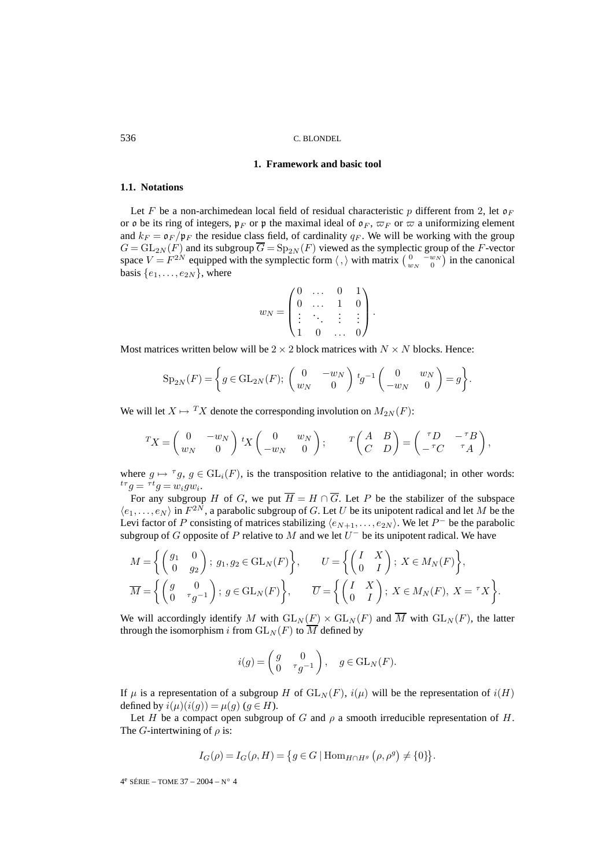# **1. Framework and basic tool**

# **1.1. Notations**

Let F be a non-archimedean local field of residual characteristic p different from 2, let  $\mathfrak{o}_F$ or  $\mathfrak o$  be its ring of integers,  $\mathfrak p_F$  or  $\mathfrak p$  the maximal ideal of  $\mathfrak o_F$ ,  $\varpi_F$  or  $\varpi$  a uniformizing element and  $k_F = \mathfrak{o}_F / \mathfrak{p}_F$  the residue class field, of cardinality  $q_F$ . We will be working with the group  $G = GL_{2N}(F)$  and its subgroup  $\overline{G} = Sp_{2N}(F)$  viewed as the symplectic group of the F-vector space  $V = F^{2N}$  equipped with the symplectic form  $\langle , \rangle$  with matrix  $\left( \begin{array}{cc} 0 & -w_N \\ w_N & 0 \end{array} \right)$  in the canonical basis  $\{e_1, \ldots, e_{2N}\}\$ , where

$$
w_N = \begin{pmatrix} 0 & \dots & 0 & 1 \\ 0 & \dots & 1 & 0 \\ \vdots & \ddots & \vdots & \vdots \\ 1 & 0 & \dots & 0 \end{pmatrix}.
$$

Most matrices written below will be  $2 \times 2$  block matrices with  $N \times N$  blocks. Hence:

$$
Sp_{2N}(F) = \left\{ g \in GL_{2N}(F); \begin{pmatrix} 0 & -w_N \\ w_N & 0 \end{pmatrix} t g^{-1} \begin{pmatrix} 0 & w_N \\ -w_N & 0 \end{pmatrix} = g \right\}.
$$

We will let  $X \mapsto {}^T X$  denote the corresponding involution on  $M_{2N}(F)$ :

$$
{}^{T}X = \begin{pmatrix} 0 & -w_N \\ w_N & 0 \end{pmatrix} {}^{t}X \begin{pmatrix} 0 & w_N \\ -w_N & 0 \end{pmatrix}; \qquad {}^{T} \begin{pmatrix} A & B \\ C & D \end{pmatrix} = \begin{pmatrix} {}^{T}D & -{}^{T}B \\ -{}^{T}C & {}^{T}A \end{pmatrix},
$$

where  $g \mapsto {}^{\tau}g$ ,  $g \in GL_i(F)$ , is the transposition relative to the antidiagonal; in other words:  ${}^{t\tau}g = {}^{\tau t}g = w_i g w_i$ .

For any subgroup H of G, we put  $\overline{H} = H \cap \overline{G}$ . Let P be the stabilizer of the subspace  $\langle e_1,\ldots,e_N\rangle$  in  $F^{2N}$ , a parabolic subgroup of G. Let U be its unipotent radical and let M be the Levi factor of P consisting of matrices stabilizing  $\langle e_{N+1},...,e_{2N} \rangle$ . We let P<sup>-</sup> be the parabolic subgroup of G opposite of P relative to M and we let  $U^-$  be its unipotent radical. We have

$$
M = \left\{ \begin{pmatrix} g_1 & 0 \\ 0 & g_2 \end{pmatrix}; g_1, g_2 \in GL_N(F) \right\}, \qquad U = \left\{ \begin{pmatrix} I & X \\ 0 & I \end{pmatrix}; X \in M_N(F) \right\},
$$

$$
\overline{M} = \left\{ \begin{pmatrix} g & 0 \\ 0 & \tau g^{-1} \end{pmatrix}; g \in GL_N(F) \right\}, \qquad \overline{U} = \left\{ \begin{pmatrix} I & X \\ 0 & I \end{pmatrix}; X \in M_N(F), X = \tau X \right\}.
$$

We will accordingly identify M with  $GL_N(F) \times GL_N(F)$  and  $\overline{M}$  with  $GL_N(F)$ , the latter through the isomorphism i from  $GL_N(F)$  to  $\overline{M}$  defined by

$$
i(g) = \begin{pmatrix} g & 0 \\ 0 & \tau g^{-1} \end{pmatrix}, \quad g \in \text{GL}_N(F).
$$

If  $\mu$  is a representation of a subgroup H of  $GL_N(F)$ ,  $i(\mu)$  will be the representation of  $i(H)$ defined by  $i(\mu)(i(q)) = \mu(q)$   $(q \in H)$ .

Let H be a compact open subgroup of G and  $\rho$  a smooth irreducible representation of H. The G-intertwining of  $\rho$  is:

$$
I_G(\rho) = I_G(\rho, H) = \{ g \in G \mid \text{Hom}_{H \cap H^g} (\rho, \rho^g) \neq \{0\} \}.
$$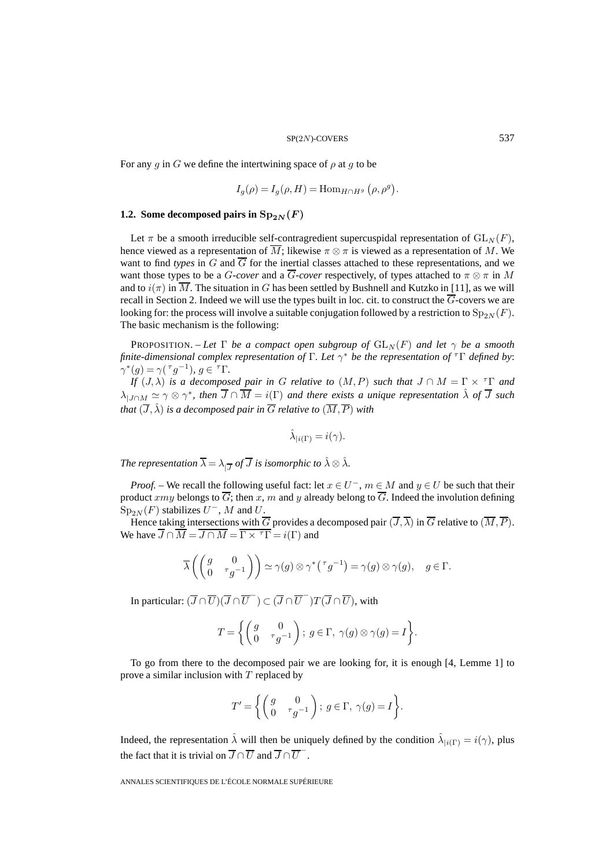For any g in G we define the intertwining space of  $\rho$  at g to be

$$
I_g(\rho) = I_g(\rho, H) = \text{Hom}_{H \cap H^g} (\rho, \rho^g).
$$

# **1.2. Some decomposed pairs in**  $Sp_{2N}(F)$

Let  $\pi$  be a smooth irreducible self-contragredient supercuspidal representation of  $GL_N(F)$ , hence viewed as a representation of  $\overline{M}$ ; likewise  $\pi \otimes \pi$  is viewed as a representation of M. We want to find *types* in G and  $\overline{G}$  for the inertial classes attached to these representations, and we want those types to be a *G-cover* and a  $\overline{G}$ -*cover* respectively, of types attached to  $\pi \otimes \pi$  in M and to  $i(\pi)$  in  $\overline{M}$ . The situation in G has been settled by Bushnell and Kutzko in [11], as we will recall in Section 2. Indeed we will use the types built in loc. cit. to construct the  $\overline{G}$ -covers we are looking for: the process will involve a suitable conjugation followed by a restriction to  $Sp_{2N}(F)$ . The basic mechanism is the following:

**PROPOSITION.** – Let  $\Gamma$  be a compact open subgroup of  $GL_N(F)$  and let  $\gamma$  be a smooth *finite-dimensional complex representation of* Γ*. Let* γ<sup>∗</sup> *be the representation of* <sup>τ</sup>Γ *defined by*:  $\gamma^*(g) = \gamma(\tau g^{-1}), g \in \tau \Gamma.$ 

*If*  $(J, \lambda)$  *is a decomposed pair in G relative to*  $(M, P)$  *such that*  $J \cap M = \Gamma \times {}^{T}\Gamma$  *and*  $\lambda_{|J\cap M}\simeq\gamma\otimes\gamma^*$ , then  $\overline{J}\cap\overline{M}=i(\Gamma)$  and there exists a unique representation  $\hat{\lambda}$  of  $\overline{J}$  such *that*  $(\overline{J}, \hat{\lambda})$  *is a decomposed pair in*  $\overline{G}$  *relative to*  $(\overline{M}, \overline{P})$  *with* 

$$
\hat{\lambda}_{|i(\Gamma)} = i(\gamma).
$$

*The representation*  $\overline{\lambda} = \lambda_{1\overline{J}}$  *of*  $\overline{J}$  *is isomorphic to*  $\hat{\lambda} \otimes \hat{\lambda}$ *.* 

*Proof.* – We recall the following useful fact: let  $x \in U^-$ ,  $m \in M$  and  $y \in U$  be such that their product xmy belongs to  $\overline{G}$ ; then x, m and y already belong to  $\overline{G}$ . Indeed the involution defining  $Sp_{2N}(F)$  stabilizes  $U^-$ , M and U.

Hence taking intersections with  $\overline{G}$  provides a decomposed pair  $(\overline{J},\overline{\lambda})$  in  $\overline{G}$  relative to  $(\overline{M},\overline{P})$ . We have  $\overline{J} \cap \overline{M} = \overline{J \cap M} = \overline{\Gamma \times {}^{T}\Gamma} = i(\Gamma)$  and

$$
\overline{\lambda}\left(\begin{pmatrix}g&0\\0&{}^{\tau}g^{-1}\end{pmatrix}\right)\simeq \gamma(g)\otimes \gamma^*\big({}^{\tau}g^{-1}\big)=\gamma(g)\otimes \gamma(g),\quad g\in \Gamma.
$$

In particular:  $(\overline{J} \cap \overline{U})(\overline{J} \cap \overline{U}^{-}) \subset (\overline{J} \cap \overline{U}^{-})T(\overline{J} \cap \overline{U})$ , with

$$
T = \left\{ \begin{pmatrix} g & 0 \\ 0 & \tau g^{-1} \end{pmatrix}; \ g \in \Gamma, \ \gamma(g) \otimes \gamma(g) = I \right\}.
$$

To go from there to the decomposed pair we are looking for, it is enough [4, Lemme 1] to prove a similar inclusion with  $T$  replaced by

$$
T' = \left\{ \begin{pmatrix} g & 0 \\ 0 & \tau g^{-1} \end{pmatrix}; \ g \in \Gamma, \ \gamma(g) = I \right\}.
$$

Indeed, the representation  $\hat{\lambda}$  will then be uniquely defined by the condition  $\hat{\lambda}_{i}(\Gamma) = i(\gamma)$ , plus the fact that it is trivial on  $\overline{J} \cap \overline{U}$  and  $\overline{J} \cap \overline{U}^{-}$ .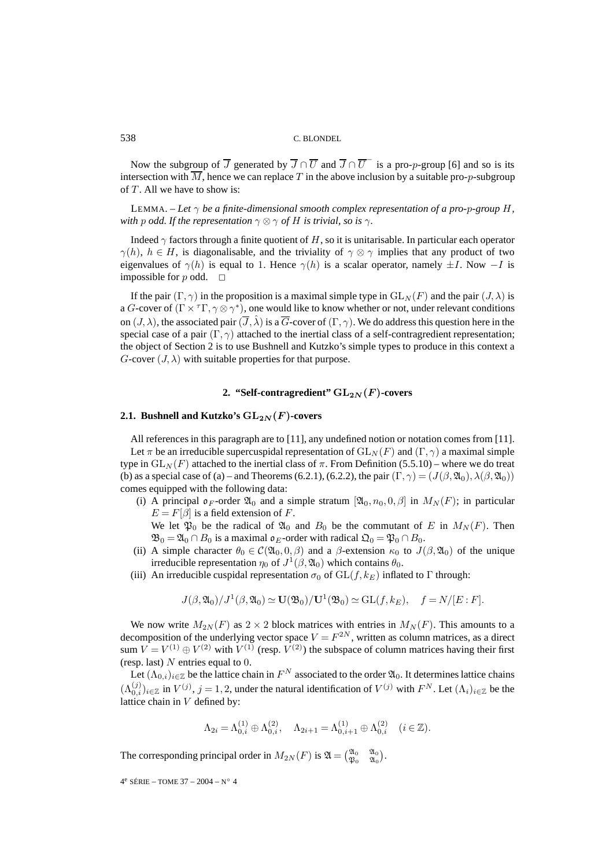Now the subgroup of  $\overline{J}$  generated by  $\overline{J} \cap \overline{U}$  and  $\overline{J} \cap \overline{U}$  is a pro-*p*-group [6] and so is its intersection with  $\overline{M}$ , hence we can replace T in the above inclusion by a suitable pro-p-subgroup of  $T$ . All we have to show is:

LEMMA. – Let  $\gamma$  be a finite-dimensional smooth complex representation of a pro-p-group H, *with* p *odd.* If the representation  $\gamma \otimes \gamma$  *of* H *is trivial, so is*  $\gamma$ *.* 

Indeed  $\gamma$  factors through a finite quotient of H, so it is unitarisable. In particular each operator  $\gamma(h)$ ,  $h \in H$ , is diagonalisable, and the triviality of  $\gamma \otimes \gamma$  implies that any product of two eigenvalues of  $\gamma(h)$  is equal to 1. Hence  $\gamma(h)$  is a scalar operator, namely  $\pm I$ . Now  $-I$  is impossible for p odd.  $\square$ 

If the pair  $(\Gamma, \gamma)$  in the proposition is a maximal simple type in  $GL_N(F)$  and the pair  $(J, \lambda)$  is a G-cover of  $(\Gamma \times^{\tau} \Gamma, \gamma \otimes \gamma^*)$ , one would like to know whether or not, under relevant conditions on  $(J, \lambda)$ , the associated pair  $(\overline{J}, \hat{\lambda})$  is a  $\overline{G}$ -cover of  $(\Gamma, \gamma)$ . We do address this question here in the special case of a pair  $(\Gamma, \gamma)$  attached to the inertial class of a self-contragredient representation; the object of Section 2 is to use Bushnell and Kutzko's simple types to produce in this context a  $G$ -cover  $(J, \lambda)$  with suitable properties for that purpose.

# 2. "Self-contragredient"  $GL_{2N}(F)$ -covers

# **2.1. Bushnell and Kutzko's**  $GL_{2N}(F)$ -covers

All references in this paragraph are to [11], any undefined notion or notation comes from [11]. Let  $\pi$  be an irreducible supercuspidal representation of  $GL_N(F)$  and  $(\Gamma, \gamma)$  a maximal simple type in  $GL_N(F)$  attached to the inertial class of  $\pi$ . From Definition (5.5.10) – where we do treat (b) as a special case of (a) – and Theorems (6.2.1), (6.2.2), the pair  $(\Gamma, \gamma) = (J(\beta, \mathfrak{A}_0), \lambda(\beta, \mathfrak{A}_0))$ comes equipped with the following data:

(i) A principal  $\mathfrak{d}_F$ -order  $\mathfrak{A}_0$  and a simple stratum  $[\mathfrak{A}_0, n_0, 0, \beta]$  in  $M_N(F)$ ; in particular  $E = F[\beta]$  is a field extension of F.

We let  $\mathfrak{P}_0$  be the radical of  $\mathfrak{A}_0$  and  $B_0$  be the commutant of E in  $M_N(F)$ . Then  $\mathfrak{B}_0 = \mathfrak{A}_0 \cap B_0$  is a maximal  $\mathfrak{o}_E$ -order with radical  $\mathfrak{Q}_0 = \mathfrak{P}_0 \cap B_0$ .

- (ii) A simple character  $\theta_0 \in C(\mathfrak{A}_0, 0, \beta)$  and a  $\beta$ -extension  $\kappa_0$  to  $J(\beta, \mathfrak{A}_0)$  of the unique irreducible representation  $\eta_0$  of  $J^1(\beta, \mathfrak{A}_0)$  which contains  $\theta_0$ .
- (iii) An irreducible cuspidal representation  $\sigma_0$  of  $GL(f, k_E)$  inflated to  $\Gamma$  through:

$$
J(\beta, \mathfrak{A}_0)/J^1(\beta, \mathfrak{A}_0) \simeq \mathbf{U}(\mathfrak{B}_0)/\mathbf{U}^1(\mathfrak{B}_0) \simeq \mathrm{GL}(f, k_E), \quad f = N/[E : F].
$$

We now write  $M_{2N}(F)$  as  $2 \times 2$  block matrices with entries in  $M_N(F)$ . This amounts to a decomposition of the underlying vector space  $V = F^{2N}$ , written as column matrices, as a direct sum  $V = V^{(1)} \oplus V^{(2)}$  with  $V^{(1)}$  (resp.  $V^{(2)}$ ) the subspace of column matrices having their first (resp. last)  $N$  entries equal to 0.

Let  $(\Lambda_{0,i})_{i\in\mathbb{Z}}$  be the lattice chain in  $F^N$  associated to the order  $\mathfrak{A}_0$ . It determines lattice chains  $(\Lambda_{0,i}^{(j)})_{i\in\mathbb{Z}}$  in  $V^{(j)}$ ,  $j=1,2$ , under the natural identification of  $V^{(j)}$  with  $F^N$ . Let  $(\Lambda_i)_{i\in\mathbb{Z}}$  be the lattice chain in  $V$  defined by:

$$
\Lambda_{2i} = \Lambda_{0,i}^{(1)} \oplus \Lambda_{0,i}^{(2)}, \quad \Lambda_{2i+1} = \Lambda_{0,i+1}^{(1)} \oplus \Lambda_{0,i}^{(2)} \quad (i \in \mathbb{Z}).
$$

The corresponding principal order in  $M_{2N}(F)$  is  $\mathfrak{A} = \begin{pmatrix} \mathfrak{A}_0 & \mathfrak{A}_0 \\ \mathfrak{P}_0 & \mathfrak{A}_0 \end{pmatrix}$ .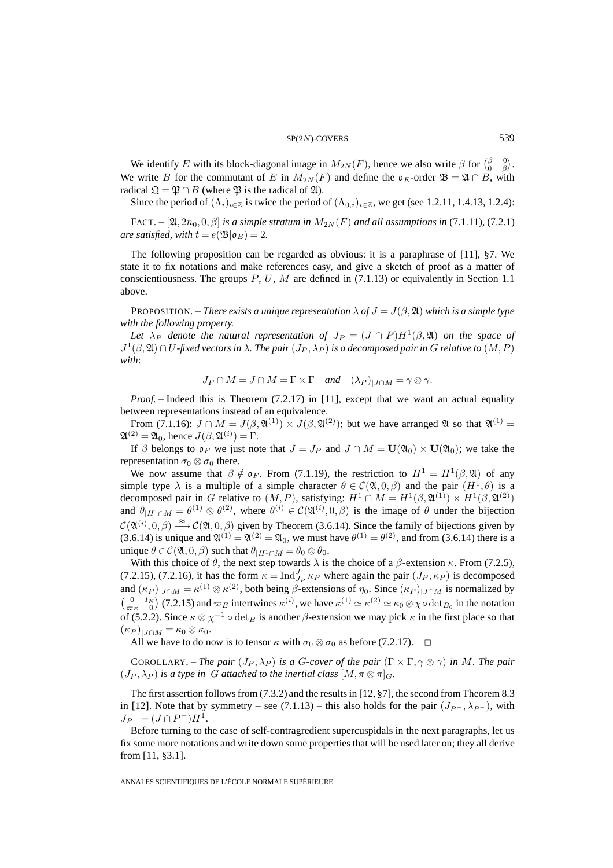#### $SP(2N)$ -COVERS 539

We identify E with its block-diagonal image in  $M_{2N}(F)$ , hence we also write  $\beta$  for  $\begin{pmatrix} \beta & 0 \\ 0 & \beta \end{pmatrix}$ . We write B for the commutant of E in  $M_{2N}(F)$  and define the  $\mathfrak{o}_E$ -order  $\mathfrak{B} = \mathfrak{A} \cap B$ , with radical  $\mathfrak{Q} = \mathfrak{P} \cap B$  (where  $\mathfrak{P}$  is the radical of  $\mathfrak{A}$ ).

Since the period of  $(\Lambda_i)_{i\in\mathbb{Z}}$  is twice the period of  $(\Lambda_{0,i})_{i\in\mathbb{Z}}$ , we get (see 1.2.11, 1.4.13, 1.2.4):

FACT. –  $[\mathfrak{A}, 2n_0, 0, \beta]$  *is a simple stratum in*  $M_{2N}(F)$  *and all assumptions in* (7.1.11)*,* (7.2.1) *are satisfied, with*  $t = e(\mathfrak{B}|\mathfrak{o}_E)=2$ .

The following proposition can be regarded as obvious: it is a paraphrase of [11], §7. We state it to fix notations and make references easy, and give a sketch of proof as a matter of conscientiousness. The groups  $P, U, M$  are defined in (7.1.13) or equivalently in Section 1.1 above.

**PROPOSITION.** – *There exists a unique representation*  $\lambda$  *of*  $J = J(\beta, \mathfrak{A})$  *which is a simple type with the following property.*

Let  $\lambda_P$  *denote the natural representation of*  $J_P = (J \cap P)H^1(\beta, \mathfrak{A})$  *on the space of*  $J^1(\beta, \mathfrak{A}) \cap U$ -fixed vectors in  $\lambda$ . The pair  $(J_P, \lambda_P)$  is a decomposed pair in G relative to  $(M, P)$ *with*:

$$
J_P \cap M = J \cap M = \Gamma \times \Gamma \quad \text{and} \quad (\lambda_P)_{|J \cap M} = \gamma \otimes \gamma.
$$

*Proof.* – Indeed this is Theorem (7.2.17) in [11], except that we want an actual equality between representations instead of an equivalence.

From (7.1.16):  $J \cap M = J(\beta, \mathfrak{A}^{(1)}) \times J(\beta, \mathfrak{A}^{(2)})$ ; but we have arranged  $\mathfrak{A}$  so that  $\mathfrak{A}^{(1)} =$  $\mathfrak{A}^{(2)} = \mathfrak{A}_0$ , hence  $J(\beta, \mathfrak{A}^{(i)}) = \Gamma$ .

If  $\beta$  belongs to  $\mathfrak{o}_F$  we just note that  $J = J_P$  and  $J \cap M = \mathbf{U}(\mathfrak{A}_0) \times \mathbf{U}(\mathfrak{A}_0)$ ; we take the representation  $\sigma_0 \otimes \sigma_0$  there.

We now assume that  $\beta \notin \mathfrak{o}_F$ . From (7.1.19), the restriction to  $H^1 = H^1(\beta, \mathfrak{A})$  of any simple type  $\lambda$  is a multiple of a simple character  $\theta \in C(\mathfrak{A},0,\beta)$  and the pair  $(H^1,\theta)$  is a decomposed pair in G relative to  $(M, P)$ , satisfying:  $H^1 \cap M = H^1(\beta, \mathfrak{A}^{(1)}) \times H^1(\beta, \mathfrak{A}^{(2)})$ and  $\theta_{|H^1 \cap M} = \theta^{(1)} \otimes \theta^{(2)}$ , where  $\theta^{(i)} \in C(\mathfrak{A}^{(i)}, 0, \beta)$  is the image of  $\theta$  under the bijection  $\mathcal{C}(\mathfrak{A}^{(i)},0,\beta) \stackrel{\approx}{\longrightarrow} \mathcal{C}(\mathfrak{A},0,\beta)$  given by Theorem (3.6.14). Since the family of bijections given by (3.6.14) is unique and  $\mathfrak{A}^{(1)} = \mathfrak{A}^{(2)} = \mathfrak{A}_0$ , we must have  $\theta^{(1)} = \theta^{(2)}$ , and from (3.6.14) there is a unique  $\theta \in \mathcal{C}(\mathfrak{A}, 0, \beta)$  such that  $\theta_{|H^1 \cap M} = \theta_0 \otimes \theta_0$ .

With this choice of  $\theta$ , the next step towards  $\lambda$  is the choice of a  $\beta$ -extension  $\kappa$ . From (7.2.5), (7.2.15), (7.2.16), it has the form  $\kappa = \text{Ind}_{J_P}^J \kappa_P$  where again the pair  $(J_P, \kappa_P)$  is decomposed and  $(\kappa_P)_{|J \cap M} = \kappa^{(1)} \otimes \kappa^{(2)}$ , both being  $\beta$ -extensions of  $\eta_0$ . Since  $(\kappa_P)_{|J \cap M}$  is normalized by  $\begin{pmatrix} 0 & I_N \\ \varpi_E & 0 \end{pmatrix}$  (7.2.15) and  $\varpi_E$  intertwines  $\kappa^{(i)}$ , we have  $\kappa^{(1)} \simeq \kappa^{(2)} \simeq \kappa_0 \otimes \chi \circ \det_{B_0}$  in the notation of (5.2.2). Since  $\kappa \otimes \chi^{-1} \circ \det_B$  is another  $\beta$ -extension we may pick  $\kappa$  in the first place so that  $(\kappa_P)_{\mid J \cap M} = \kappa_0 \otimes \kappa_0.$ 

All we have to do now is to tensor  $\kappa$  with  $\sigma_0 \otimes \sigma_0$  as before (7.2.17).  $\Box$ 

COROLLARY. – *The pair*  $(J_P, \lambda_P)$  *is a G-cover of the pair*  $(\Gamma \times \Gamma, \gamma \otimes \gamma)$  *in M. The pair*  $(J_P, \lambda_P)$  *is a type in G attached to the inertial class*  $[M, \pi \otimes \pi]_G$ *.* 

The first assertion follows from (7.3.2) and the results in [12, §7], the second from Theorem 8.3 in [12]. Note that by symmetry – see (7.1.13) – this also holds for the pair  $(J_{P}^-, \lambda_{P}^-)$ , with  $J_{P^-} = (J \cap P^-)H^1$ .

Before turning to the case of self-contragredient supercuspidals in the next paragraphs, let us fix some more notations and write down some properties that will be used later on; they all derive from [11, §3.1].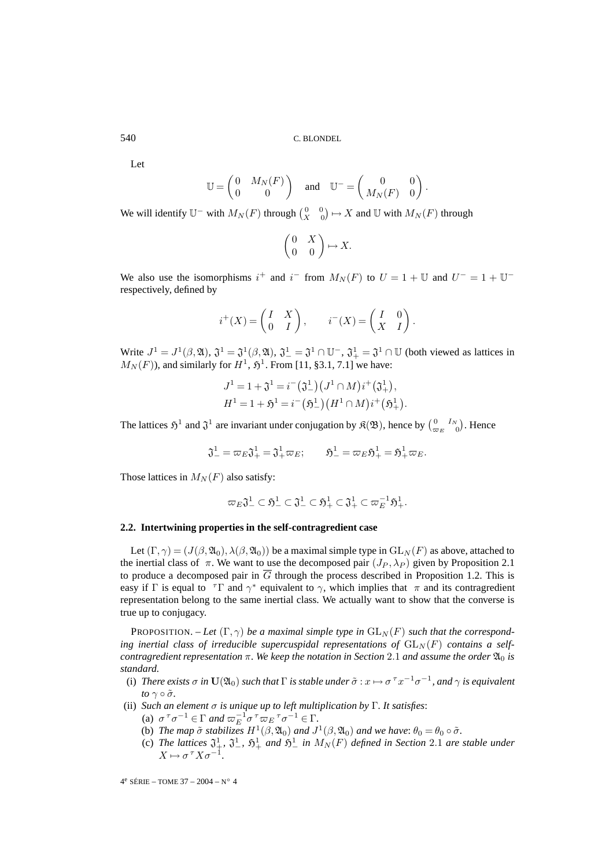Let

$$
\mathbb{U} = \begin{pmatrix} 0 & M_N(F) \\ 0 & 0 \end{pmatrix} \quad \text{and} \quad \mathbb{U}^- = \begin{pmatrix} 0 & 0 \\ M_N(F) & 0 \end{pmatrix}.
$$

We will identify  $\mathbb{U}^-$  with  $M_N(F)$  through  $\begin{pmatrix} 0 & 0 \\ X & 0 \end{pmatrix} \mapsto X$  and  $\mathbb{U}$  with  $M_N(F)$  through

$$
\begin{pmatrix} 0 & X \\ 0 & 0 \end{pmatrix} \mapsto X.
$$

We also use the isomorphisms  $i^+$  and  $i^-$  from  $M_N(F)$  to  $U = 1 + \mathbb{U}$  and  $U^- = 1 + \mathbb{U}^$ respectively, defined by

$$
i^+(X) = \begin{pmatrix} I & X \\ 0 & I \end{pmatrix}, \qquad i^-(X) = \begin{pmatrix} I & 0 \\ X & I \end{pmatrix}.
$$

Write  $J^1 = J^1(\beta, \mathfrak{A}), \mathfrak{J}^1 = \mathfrak{J}^1(\beta, \mathfrak{A}), \mathfrak{J}^1 = \mathfrak{J}^1 \cap \mathbb{U}^-, \mathfrak{J}^1_+ = \mathfrak{J}^1 \cap \mathbb{U}$  (both viewed as lattices in  $M_N(F)$ , and similarly for  $H^1$ ,  $\mathfrak{H}^1$ . From [11, §3.1, 7.1] we have:

$$
J^{1} = 1 + \mathfrak{J}^{1} = i^{-}(\mathfrak{J}^{1}_{-}) (J^{1} \cap M) i^{+}(\mathfrak{J}^{1}_{+}),
$$
  

$$
H^{1} = 1 + \mathfrak{H}^{1} = i^{-}(\mathfrak{H}^{1}_{-}) (H^{1} \cap M) i^{+}(\mathfrak{H}^{1}_{+})
$$

.

The lattices  $\mathfrak{H}^1$  and  $\mathfrak{J}^1$  are invariant under conjugation by  $\mathfrak{K}(\mathfrak{B})$ , hence by  $\begin{pmatrix} 0 & I_N \\ \varpi_E & 0 \end{pmatrix}$ . Hence

$$
\mathfrak{J}_-^1=\varpi_E\mathfrak{J}_+^1=\mathfrak{J}_+^1\varpi_E;\qquad \mathfrak{H}_-^1=\varpi_E\mathfrak{H}_+^1=\mathfrak{H}_+^1\varpi_E.
$$

Those lattices in  $M_N(F)$  also satisfy:

$$
\varpi_E \mathfrak{J}_-^1 \subset \mathfrak{H}_-^1 \subset \mathfrak{J}_-^1 \subset \mathfrak{H}_+^1 \subset \mathfrak{J}_+^1 \subset \varpi_E^{-1} \mathfrak{H}_+^1.
$$

# **2.2. Intertwining properties in the self-contragredient case**

Let  $(\Gamma, \gamma) = (J(\beta, \mathfrak{A}_0), \lambda(\beta, \mathfrak{A}_0))$  be a maximal simple type in  $GL_N(F)$  as above, attached to the inertial class of  $\pi$ . We want to use the decomposed pair  $(J_P, \lambda_P)$  given by Proposition 2.1 to produce a decomposed pair in  $\overline{G}$  through the process described in Proposition 1.2. This is easy if Γ is equal to  $\tau\Gamma$  and  $\gamma^*$  equivalent to  $\gamma$ , which implies that  $\pi$  and its contragredient representation belong to the same inertial class. We actually want to show that the converse is true up to conjugacy.

PROPOSITION. – Let  $(\Gamma, \gamma)$  be a maximal simple type in  $GL_N(F)$  such that the corresponding inertial class of irreducible supercuspidal representations of  $GL_N(F)$  contains a self*contragredient representation*  $\pi$ *. We keep the notation in Section* 2.1 *and assume the order*  $\mathfrak{A}_0$  *is standard.*

- (i) *There exists*  $\sigma$  *in*  $U(\mathfrak{A}_0)$  *such that*  $\Gamma$  *is stable under*  $\tilde{\sigma}: x \mapsto \sigma^{\tau} x^{-1} \sigma^{-1}$ *, and*  $\gamma$  *is equivalent to*  $\gamma \circ \tilde{\sigma}$ .
- (ii) *Such an element* σ *is unique up to left multiplication by* Γ*. It satisfies*:
	- (a)  $\sigma^{\tau}\sigma^{-1} \in \Gamma$  *and*  $\varpi_E^{-1}\sigma^{\tau}\varpi_E^{\tau}\sigma^{-1} \in \Gamma$ .
	- (b) *The map*  $\tilde{\sigma}$  *stabilizes*  $H^1(\beta, \mathfrak{A}_0)$  *and*  $J^1(\beta, \mathfrak{A}_0)$  *and* we have:  $\theta_0 = \theta_0 \circ \tilde{\sigma}$ *.*
	- (c) The lattices  $\mathfrak{J}^1_+$ ,  $\mathfrak{J}^1_-$ ,  $\mathfrak{H}^1_+$  and  $\mathfrak{H}^1_-$  in  $M_N(F)$  defined in Section 2.1 are stable under  $X \mapsto \sigma^\tau X \sigma^{-1}$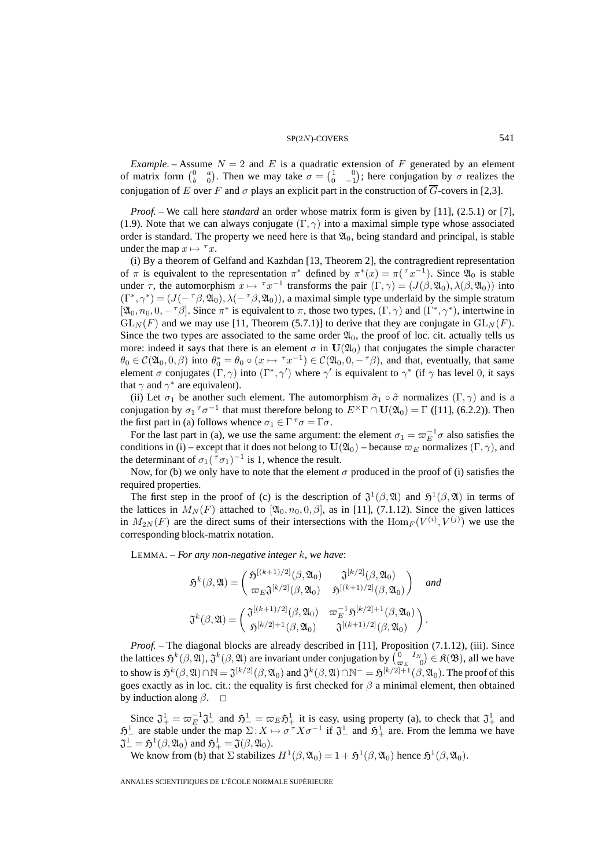*Example*. – Assume  $N = 2$  and E is a quadratic extension of F generated by an element of matrix form  $\begin{pmatrix} 0 & a \\ b & 0 \end{pmatrix}$ . Then we may take  $\sigma = \begin{pmatrix} 1 & 0 \\ 0 & -1 \end{pmatrix}$ ; here conjugation by  $\sigma$  realizes the conjugation of E over F and  $\sigma$  plays an explicit part in the construction of  $\overline{G}$ -covers in [2,3].

*Proof. –* We call here *standard* an order whose matrix form is given by [11], (2.5.1) or [7], (1.9). Note that we can always conjugate  $(\Gamma, \gamma)$  into a maximal simple type whose associated order is standard. The property we need here is that  $\mathfrak{A}_0$ , being standard and principal, is stable under the map  $x \mapsto \tau x$ .

(i) By a theorem of Gelfand and Kazhdan [13, Theorem 2], the contragredient representation of  $\pi$  is equivalent to the representation  $\pi^*$  defined by  $\pi^*(x) = \pi(\tau x^{-1})$ . Since  $\mathfrak{A}_0$  is stable under  $\tau$ , the automorphism  $x \mapsto \tau x^{-1}$  transforms the pair  $(\Gamma, \gamma) = (J(\beta, \mathfrak{A}_0), \lambda(\beta, \mathfrak{A}_0))$  into  $(\Gamma^*, \gamma^*)=(J(-\tau\beta, \mathfrak{A}_0), \lambda(-\tau\beta, \mathfrak{A}_0))$ , a maximal simple type underlaid by the simple stratum  $[2a_0, n_0, 0, -\tau\beta]$ . Since  $\pi^*$  is equivalent to  $\pi$ , those two types,  $(\Gamma, \gamma)$  and  $(\Gamma^*, \gamma^*)$ , intertwine in  $GL_N(F)$  and we may use [11, Theorem (5.7.1)] to derive that they are conjugate in  $GL_N(F)$ . Since the two types are associated to the same order  $\mathfrak{A}_0$ , the proof of loc. cit. actually tells us more: indeed it says that there is an element  $\sigma$  in  $U(\mathfrak{A}_0)$  that conjugates the simple character  $\theta_0 \in \mathcal{C}(\mathfrak{A}_0, 0, \beta)$  into  $\theta_0^* = \theta_0 \circ (x \mapsto \tau x^{-1}) \in \mathcal{C}(\mathfrak{A}_0, 0, -\tau\beta)$ , and that, eventually, that same element  $\sigma$  conjugates  $(\Gamma, \gamma)$  into  $(\Gamma^*, \gamma')$  where  $\gamma'$  is equivalent to  $\gamma^*$  (if  $\gamma$  has level 0, it says that  $\gamma$  and  $\gamma^*$  are equivalent).

(ii) Let  $\sigma_1$  be another such element. The automorphism  $\tilde{\sigma}_1 \circ \tilde{\sigma}$  normalizes  $(\Gamma, \gamma)$  and is a conjugation by  $\sigma_1 \tau \sigma^{-1}$  that must therefore belong to  $E^{\times} \Gamma \cap \mathbf{U}(\mathfrak{A}_0) = \Gamma$  ([11], (6.2.2)). Then the first part in (a) follows whence  $\sigma_1 \in \Gamma^{\tau} \sigma = \Gamma \sigma$ .

For the last part in (a), we use the same argument: the element  $\sigma_1 = \varpi_E^{-1} \sigma$  also satisfies the conditions in (i) – except that it does not belong to  $U(\mathfrak{A}_0)$  – because  $\varpi_E$  normalizes  $(\Gamma, \gamma)$ , and the determinant of  $\sigma_1(\tau_{\sigma_1})^{-1}$  is 1, whence the result.

Now, for (b) we only have to note that the element  $\sigma$  produced in the proof of (i) satisfies the required properties.

The first step in the proof of (c) is the description of  $\mathfrak{J}^1(\beta,\mathfrak{A})$  and  $\mathfrak{H}^1(\beta,\mathfrak{A})$  in terms of the lattices in  $M_N(F)$  attached to  $[\mathfrak{A}_0, n_0, 0, \beta]$ , as in [11], (7.1.12). Since the given lattices in  $M_{2N}(F)$  are the direct sums of their intersections with the  $\text{Hom}_F(V^{(i)}, V^{(j)})$  we use the corresponding block-matrix notation.

LEMMA. – *For any non-negative integer* k*, we have*:

$$
\mathfrak{H}^{k}(\beta,\mathfrak{A}) = \begin{pmatrix}\n\mathfrak{H}^{[(k+1)/2]}(\beta,\mathfrak{A}_0) & \mathfrak{J}^{[k/2]}(\beta,\mathfrak{A}_0) \\
\varpi_E \mathfrak{J}^{[k/2]}(\beta,\mathfrak{A}_0) & \mathfrak{H}^{[(k+1)/2]}(\beta,\mathfrak{A}_0)\n\end{pmatrix} \quad \text{and}
$$
\n
$$
\mathfrak{J}^{k}(\beta,\mathfrak{A}) = \begin{pmatrix}\n\mathfrak{J}^{[(k+1)/2]}(\beta,\mathfrak{A}_0) & \varpi_E^{-1}\mathfrak{H}^{[k/2]+1}(\beta,\mathfrak{A}_0) \\
\mathfrak{H}^{[k/2]+1}(\beta,\mathfrak{A}_0) & \mathfrak{J}^{[(k+1)/2]}(\beta,\mathfrak{A}_0)\n\end{pmatrix}.
$$

*Proof. –* The diagonal blocks are already described in [11], Proposition (7.1.12), (iii). Since the lattices  $\mathfrak{H}^k(\beta,\mathfrak{A}), \mathfrak{J}^k(\beta,\mathfrak{A})$  are invariant under conjugation by  $\left(\begin{smallmatrix} 0 & I_N \ \varpi_E & 0 \end{smallmatrix}\right) \in \mathfrak{K}(\mathfrak{B}),$  all we have to show is  $\mathfrak{H}^k(\beta,\mathfrak{A})\cap \mathbb{N}=\mathfrak{J}^{[k/2]}(\beta,\mathfrak{A}_0)$  and  $\mathfrak{J}^k(\beta,\mathfrak{A})\cap \mathbb{N}^-=\mathfrak{H}^{[k/2]+1}(\beta,\mathfrak{A}_0).$  The proof of this goes exactly as in loc. cit.: the equality is first checked for  $\beta$  a minimal element, then obtained by induction along  $\beta$ .  $\Box$ 

Since  $\mathfrak{J}^1_+ = \varpi_E^{-1} \mathfrak{J}^1_-$  and  $\mathfrak{H}^1_- = \varpi_E \mathfrak{H}^1_+$  it is easy, using property (a), to check that  $\mathfrak{J}^1_+$  and  $\mathfrak{H}^1$  are stable under the map  $\Sigma : X \mapsto \sigma^T X \sigma^{-1}$  if  $\mathfrak{J}^1$  and  $\mathfrak{H}^1$  are. From the lemma we have  $\mathfrak{J}_-^1 = \mathfrak{H}^1(\beta, \mathfrak{A}_0)$  and  $\mathfrak{H}_+^1 = \mathfrak{J}(\beta, \mathfrak{A}_0)$ .

We know from (b) that  $\Sigma$  stabilizes  $H^1(\beta,\mathfrak{A}_0)=1+\mathfrak{H}^1(\beta,\mathfrak{A}_0)$  hence  $\mathfrak{H}^1(\beta,\mathfrak{A}_0)$ .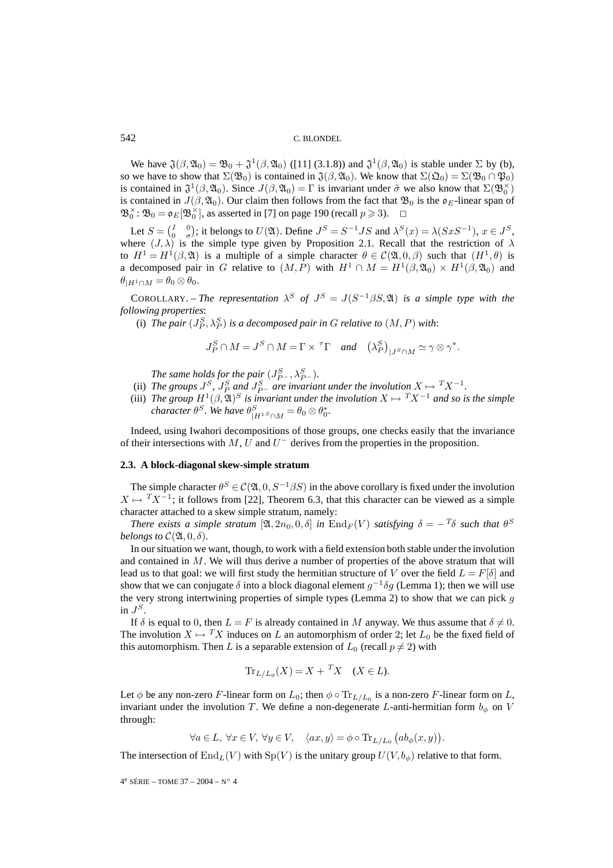We have  $\mathfrak{J}(\beta,\mathfrak{A}_0) = \mathfrak{B}_0 + \mathfrak{J}^1(\beta,\mathfrak{A}_0)$  ([11] (3.1.8)) and  $\mathfrak{J}^1(\beta,\mathfrak{A}_0)$  is stable under  $\Sigma$  by (b), so we have to show that  $\Sigma(\mathfrak{B}_0)$  is contained in  $\mathfrak{J}(\beta,\mathfrak{A}_0)$ . We know that  $\Sigma(\mathfrak{Q}_0) = \Sigma(\mathfrak{B}_0 \cap \mathfrak{P}_0)$ is contained in  $\mathfrak{J}^1(\beta,\mathfrak{A}_0)$ . Since  $J(\beta,\mathfrak{A}_0)=\Gamma$  is invariant under  $\tilde{\sigma}$  we also know that  $\Sigma(\mathfrak{B}_0^{\times})$ is contained in  $J(\beta, \mathfrak{A}_0)$ . Our claim then follows from the fact that  $\mathfrak{B}_0$  is the  $\mathfrak{o}_E$ -linear span of  $\mathfrak{B}_{0}^{\times}$ :  $\mathfrak{B}_{0} = \mathfrak{o}_{E}[\mathfrak{B}_{0}^{\times}],$  as asserted in [7] on page 190 (recall  $p \ge 3$ ).  $\Box$ 

Let  $S = \begin{pmatrix} I & 0 \\ 0 & \sigma \end{pmatrix}$ ; it belongs to  $U(\mathfrak{A})$ . Define  $J^S = S^{-1}JS$  and  $\lambda^S(x) = \lambda(SxS^{-1})$ ,  $x \in J^S$ , where  $(J, \lambda)$  is the simple type given by Proposition 2.1. Recall that the restriction of  $\lambda$ to  $H^1 = H^1(\beta, \mathfrak{A})$  is a multiple of a simple character  $\theta \in C(\mathfrak{A}, 0, \beta)$  such that  $(H^1, \theta)$  is a decomposed pair in G relative to  $(M, P)$  with  $H^1 \cap M = H^1(\beta, \mathfrak{A}_0) \times H^1(\beta, \mathfrak{A}_0)$  and  $\theta_{|H^1 \cap M} = \theta_0 \otimes \theta_0.$ 

COROLLARY. – *The representation*  $\lambda^S$  *of*  $J^S = J(S^{-1}\beta S, \mathfrak{A})$  *is a simple type with the following properties*:

(i) The pair  $(J_P^S, \lambda_P^S)$  is a decomposed pair in  $G$  relative to  $(M, P)$  with:

$$
J_P^S \cap M = J^S \cap M = \Gamma \times {}^{\tau} \Gamma \quad \text{and} \quad \left(\lambda_P^S\right)_{|J^S \cap M} \simeq \gamma \otimes \gamma^*.
$$

*The same holds for the pair*  $(J_{P^-}^S, \lambda_{P^-}^S)$ *.* 

- (ii) The groups  $J^S$ ,  $J^S_P$  and  $J^S_{P^-}$  are invariant under the involution  $X \mapsto TX^{-1}$ .
- (iii) *The group*  $H^1(\beta, \mathfrak{A})^S$  *is invariant under the involution*  $X \mapsto TX^{-1}$  *and so is the simple character*  $\theta^S$ *. We have*  $\theta^S_{|H^1S \cap M} = \theta_0 \otimes \theta_0^*$ *.*

Indeed, using Iwahori decompositions of those groups, one checks easily that the invariance of their intersections with  $M$ , U and  $U^-$  derives from the properties in the proposition.

#### **2.3. A block-diagonal skew-simple stratum**

The simple character  $\theta^S \in \mathcal{C}(\mathfrak{A}, 0, S^{-1}\beta S)$  in the above corollary is fixed under the involution  $X \mapsto T X^{-1}$ ; it follows from [22], Theorem 6.3, that this character can be viewed as a simple character attached to a skew simple stratum, namely:

*There exists a simple stratum* [ $\mathfrak{A}, 2n_0, 0, \delta$ ] *in* End<sub>F</sub>(V) *satisfying*  $\delta = -T\delta$  *such that*  $\theta^S$ *belongs to*  $\mathcal{C}(\mathfrak{A},0,\delta)$ *.* 

In our situation we want, though, to work with a field extension both stable under the involution and contained in  $M$ . We will thus derive a number of properties of the above stratum that will lead us to that goal: we will first study the hermitian structure of V over the field  $L = F[\delta]$  and show that we can conjugate  $\delta$  into a block diagonal element  $g^{-1}\delta g$  (Lemma 1); then we will use the very strong intertwining properties of simple types (Lemma 2) to show that we can pick  $g$ in  $J^S$ .

If  $\delta$  is equal to 0, then  $L = F$  is already contained in M anyway. We thus assume that  $\delta \neq 0$ . The involution  $X \mapsto T X$  induces on L an automorphism of order 2; let  $L_0$  be the fixed field of this automorphism. Then L is a separable extension of  $L_0$  (recall  $p \neq 2$ ) with

$$
\operatorname{Tr}_{L/L_0}(X) = X + \,^T X \quad (X \in L).
$$

Let  $\phi$  be any non-zero F-linear form on  $L_0$ ; then  $\phi \circ \text{Tr}_{L/L_0}$  is a non-zero F-linear form on L, invariant under the involution T. We define a non-degenerate L-anti-hermitian form  $b_{\phi}$  on V through:

 $\forall a \in L, \ \forall x \in V, \ \forall y \in V, \quad \langle ax, y \rangle = \phi \circ \text{Tr}_{L/L_0} (ab_{\phi}(x, y)).$ 

The intersection of  $\text{End}_L(V)$  with  $\text{Sp}(V)$  is the unitary group  $U(V,b_{\phi})$  relative to that form.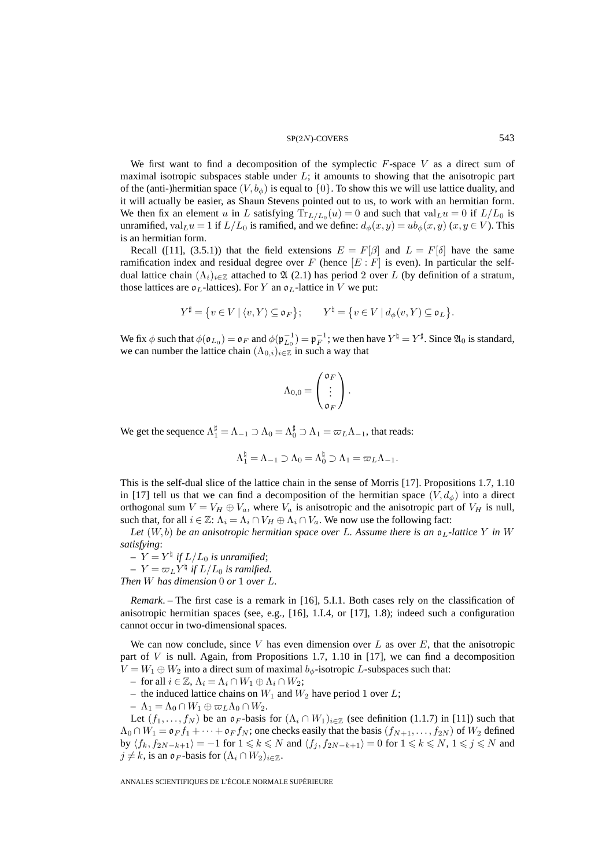#### $SP(2N)$ -COVERS 543

We first want to find a decomposition of the symplectic  $F$ -space  $V$  as a direct sum of maximal isotropic subspaces stable under  $L$ ; it amounts to showing that the anisotropic part of the (anti-)hermitian space  $(V, b_{\phi})$  is equal to  $\{0\}$ . To show this we will use lattice duality, and it will actually be easier, as Shaun Stevens pointed out to us, to work with an hermitian form. We then fix an element u in L satisfying  $Tr_{L/L_0}(u)=0$  and such that  $val_L u=0$  if  $L/L_0$  is unramified, val<sub>L</sub>u = 1 if  $L/L_0$  is ramified, and we define:  $d_{\phi}(x, y) = ub_{\phi}(x, y)$  ( $x, y \in V$ ). This is an hermitian form.

Recall ([11], (3.5.1)) that the field extensions  $E = F[\beta]$  and  $L = F[\delta]$  have the same ramification index and residual degree over F (hence  $[E : F]$  is even). In particular the selfdual lattice chain  $(\Lambda_i)_{i\in\mathbb{Z}}$  attached to  $\mathfrak{A}(2.1)$  has period 2 over L (by definition of a stratum, those lattices are  $\mathfrak{o}_L$ -lattices). For Y an  $\mathfrak{o}_L$ -lattice in V we put:

$$
Y^{\sharp} = \{ v \in V \mid \langle v, Y \rangle \subseteq \mathfrak{o}_F \}; \qquad Y^{\natural} = \{ v \in V \mid d_{\phi}(v, Y) \subseteq \mathfrak{o}_L \}.
$$

We fix  $\phi$  such that  $\phi(\mathfrak{o}_{L_0}) = \mathfrak{o}_F$  and  $\phi(\mathfrak{p}_{L_0}^{-1}) = \mathfrak{p}_F^{-1}$ ; we then have  $Y^{\sharp} = Y^{\sharp}$ . Since  $\mathfrak{A}_0$  is standard, we can number the lattice chain  $(\Lambda_{0,i})_{i\in\mathbb{Z}}$  in such a way that

$$
\Lambda_{0,0} = \begin{pmatrix} \mathfrak{o}_F \\ \vdots \\ \mathfrak{o}_F \end{pmatrix}.
$$

We get the sequence  $\Lambda_1^{\sharp} = \Lambda_{-1} \supset \Lambda_0 = \Lambda_0^{\sharp} \supset \Lambda_1 = \varpi_L \Lambda_{-1}$ , that reads:

$$
\Lambda_1^{\natural} = \Lambda_{-1} \supset \Lambda_0 = \Lambda_0^{\natural} \supset \Lambda_1 = \varpi_L \Lambda_{-1}.
$$

This is the self-dual slice of the lattice chain in the sense of Morris [17]. Propositions 1.7, 1.10 in [17] tell us that we can find a decomposition of the hermitian space  $(V, d_{\phi})$  into a direct orthogonal sum  $V = V_H \oplus V_a$ , where  $V_a$  is anisotropic and the anisotropic part of  $V_H$  is null, such that, for all  $i \in \mathbb{Z}$ :  $\Lambda_i = \Lambda_i \cap V_H \oplus \Lambda_i \cap V_a$ . We now use the following fact:

Let  $(W, b)$  be an anisotropic hermitian space over L. Assume there is an  $\mathfrak{o}_L$ -lattice Y in W *satisfying*:

 $Y = Y^{\dagger}$  if  $L/L_0$  is unramified;  $Y = \varpi_L Y^{\dagger}$  if  $L/L_0$  is ramified. *Then* W *has dimension* 0 *or* 1 *over* L*.*

*Remark*. – The first case is a remark in [16], 5.I.1. Both cases rely on the classification of anisotropic hermitian spaces (see, e.g., [16], 1.I.4, or [17], 1.8); indeed such a configuration cannot occur in two-dimensional spaces.

We can now conclude, since V has even dimension over  $L$  as over  $E$ , that the anisotropic part of  $V$  is null. Again, from Propositions 1.7, 1.10 in [17], we can find a decomposition  $V = W_1 \oplus W_2$  into a direct sum of maximal  $b_{\phi}$ -isotropic L-subspaces such that:

– for all  $i \in \mathbb{Z}$ ,  $\Lambda_i = \Lambda_i \cap W_1 \oplus \Lambda_i \cap W_2$ ;

– the induced lattice chains on  $W_1$  and  $W_2$  have period 1 over L;

 $- \Lambda_1 = \Lambda_0 \cap W_1 \oplus \varpi_L \Lambda_0 \cap W_2.$ 

Let  $(f_1,...,f_N)$  be an  $\mathfrak{o}_F$ -basis for  $(\Lambda_i \cap W_1)_{i \in \mathbb{Z}}$  (see definition (1.1.7) in [11]) such that  $\Lambda_0 \cap W_1 = \mathfrak{d}_F f_1 + \cdots + \mathfrak{d}_F f_N$ ; one checks easily that the basis  $(f_{N+1}, \ldots, f_{2N})$  of  $W_2$  defined by  $\langle f_k, f_{2N-k+1} \rangle = -1$  for  $1 \leq k \leq N$  and  $\langle f_j, f_{2N-k+1} \rangle = 0$  for  $1 \leq k \leq N$ ,  $1 \leq j \leq N$  and  $j \neq k$ , is an  $\mathfrak{o}_F$ -basis for  $(\Lambda_i \cap W_2)_{i \in \mathbb{Z}}$ .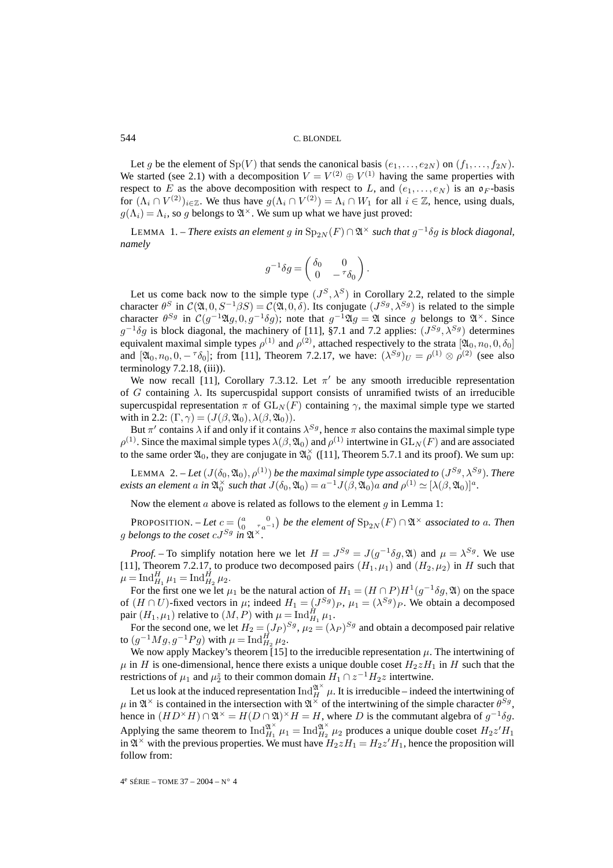Let g be the element of  $Sp(V)$  that sends the canonical basis  $(e_1,...,e_{2N})$  on  $(f_1,...,f_{2N})$ . We started (see 2.1) with a decomposition  $V = V^{(2)} \oplus V^{(1)}$  having the same properties with respect to E as the above decomposition with respect to L, and  $(e_1, \ldots, e_N)$  is an  $\mathfrak{o}_F$ -basis for  $(\Lambda_i \cap V^{(2)})_{i \in \mathbb{Z}}$ . We thus have  $g(\Lambda_i \cap V^{(2)}) = \Lambda_i \cap W_1$  for all  $i \in \mathbb{Z}$ , hence, using duals,  $g(\Lambda_i) = \Lambda_i$ , so g belongs to  $\mathfrak{A}^{\times}$ . We sum up what we have just proved:

LEMMA 1. – *There exists an element* g *in*  $Sp_{2N}(F) ∩ ℜ<sup>×</sup> such that  $g<sup>-1</sup>δg$  is block diagonal,$ *namely*

$$
g^{-1}\delta g = \begin{pmatrix} \delta_0 & 0 \\ 0 & -\tau \delta_0 \end{pmatrix}.
$$

Let us come back now to the simple type  $(J^S, \lambda^S)$  in Corollary 2.2, related to the simple character  $\theta^S$  in  $\mathcal{C}(\mathfrak{A}, 0, S^{-1}\beta S) = \mathcal{C}(\mathfrak{A}, 0, \delta)$ . Its conjugate  $(J^{Sg}, \lambda^{Sg})$  is related to the simple character  $\theta^{Sg}$  in  $C(g^{-1}\mathfrak{A}g, 0, g^{-1}\delta g)$ ; note that  $g^{-1}\mathfrak{A}g = \mathfrak{A}$  since g belongs to  $\mathfrak{A}^{\times}$ . Since  $g^{-1}\delta g$  is block diagonal, the machinery of [11], §7.1 and 7.2 applies:  $(J^{Sg}, \lambda^{Sg})$  determines equivalent maximal simple types  $\rho^{(1)}$  and  $\rho^{(2)}$ , attached respectively to the strata  $[\mathfrak{A}_0, n_0, 0, \delta_0]$ and  $[\mathfrak{A}_0, n_0, 0, -\tau \delta_0]$ ; from [11], Theorem 7.2.17, we have:  $(\lambda^{Sg})_U = \rho^{(1)} \otimes \rho^{(2)}$  (see also  $terminology 7.2.18$ ,  $(iii)$ ).

We now recall [11], Corollary 7.3.12. Let  $\pi'$  be any smooth irreducible representation of G containing  $\lambda$ . Its supercuspidal support consists of unramified twists of an irreducible supercuspidal representation  $\pi$  of  $GL_N(F)$  containing  $\gamma$ , the maximal simple type we started with in 2.2:  $(\Gamma, \gamma) = (J(\beta, \mathfrak{A}_0), \lambda(\beta, \mathfrak{A}_0)).$ 

But  $\pi'$  contains  $\lambda$  if and only if it contains  $\lambda^{Sg}$ , hence  $\pi$  also contains the maximal simple type  $\rho^{(1)}$ . Since the maximal simple types  $\lambda(\beta,\mathfrak{A}_0)$  and  $\rho^{(1)}$  intertwine in  $\mathrm{GL}_N(F)$  and are associated to the same order  $\mathfrak{A}_0$ , they are conjugate in  $\mathfrak{A}_0^{\times}$  ([11], Theorem 5.7.1 and its proof). We sum up:

LEMMA 2. – Let  $(J(\delta_0, \mathfrak{A}_0), \rho^{(1)})$  be the maximal simple type associated to  $(J^{Sg}, \lambda^{Sg})$ . There *exists an element*  $a$  *in*  $\mathfrak{A}_{0}^{\times}$  *such that*  $J(\delta_{0}, \mathfrak{A}_{0}) = a^{-1}J(\beta, \mathfrak{A}_{0})a$  *and*  $\rho^{(1)} \simeq [\lambda(\beta, \mathfrak{A}_{0})]^{a}$ *.* 

Now the element a above is related as follows to the element  $g$  in Lemma 1:

**PROPOSITION.** – Let  $c = \begin{pmatrix} a & 0 \ 0 & \tau a^{-1} \end{pmatrix}$  be the element of  $\text{Sp}_{2N}(F) \cap \mathfrak{A}^{\times}$  associated to a. Then g belongs to the coset  $cJ^{Sg}$  in  $\mathfrak{A}^{\times}$ .

*Proof.* – To simplify notation here we let  $H = J^{Sg} = J(g^{-1}\delta g, \mathfrak{A})$  and  $\mu = \lambda^{Sg}$ . We use [11], Theorem 7.2.17, to produce two decomposed pairs  $(H_1, \mu_1)$  and  $(H_2, \mu_2)$  in H such that  $\mu = \text{Ind}_{H_1}^H \mu_1 = \text{Ind}_{H_2}^H \mu_2.$ 

For the first one we let  $\mu_1$  be the natural action of  $H_1 = (H \cap P)H^1(g^{-1}\delta g, \mathfrak{A})$  on the space of  $(H \cap U)$ -fixed vectors in  $\mu$ ; indeed  $H_1 = (J^{Sg})_P$ ,  $\mu_1 = (\lambda^{Sg})_P$ . We obtain a decomposed pair  $(H_1, \mu_1)$  relative to  $(M, P)$  with  $\mu = \text{Ind}_{H_1}^{\tilde{H}} \mu_1$ .

For the second one, we let  $H_2 = (J_P)^{S_g}$ ,  $\mu_2 = (\lambda_P)^{S_g}$  and obtain a decomposed pair relative to  $(g^{-1}Mg, g^{-1}Pg)$  with  $\mu = \text{Ind}_{H_2}^H \mu_2$ .

We now apply Mackey's theorem [15] to the irreducible representation  $\mu$ . The intertwining of  $\mu$  in H is one-dimensional, hence there exists a unique double coset  $H_2zH_1$  in H such that the restrictions of  $\mu_1$  and  $\mu_2^z$  to their common domain  $H_1 \cap z^{-1}H_2z$  intertwine.

Let us look at the induced representation  $\text{Ind}_{H}^{\mathfrak{A}^{\times}} \mu$ . It is irreducible – indeed the intertwining of  $\mu$  in  $\mathfrak{A}^{\times}$  is contained in the intersection with  $\mathfrak{A}^{\times}$  of the intertwining of the simple character  $\theta^{Sg}$ , hence in  $(HD^{\times}H) \cap \mathfrak{A}^{\times} = H(D \cap \mathfrak{A})^{\times}H = H$ , where D is the commutant algebra of  $g^{-1}\delta g$ . Applying the same theorem to  $\text{Ind}_{H_1}^{\mathfrak{A}^{\times}} \mu_1 = \text{Ind}_{H_2}^{\mathfrak{A}^{\times}} \mu_2$  produces a unique double coset  $H_2 z' H_1$ in  $\mathfrak{A}^{\times}$  with the previous properties. We must have  $H_2 z H_1 = H_2 z' H_1$ , hence the proposition will follow from: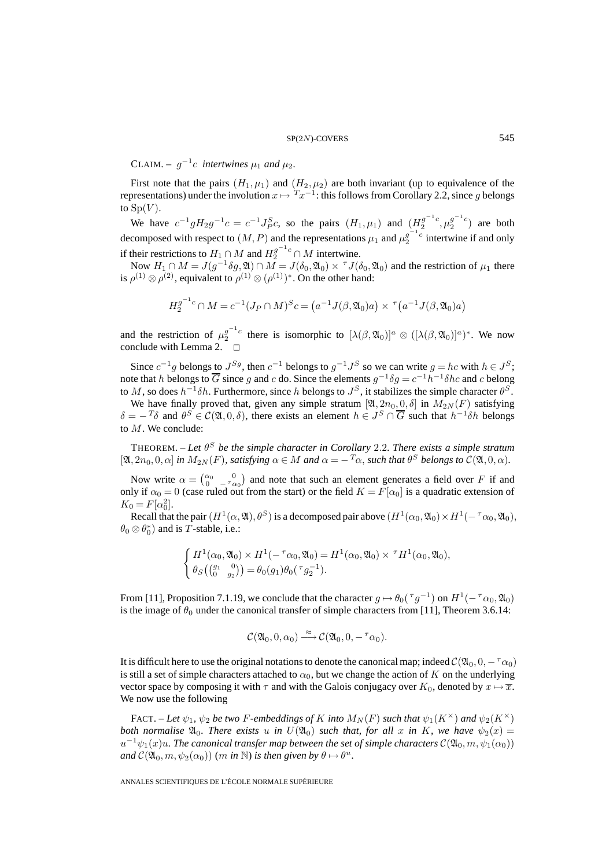CLAIM. –  $q^{-1}c$  *intertwines*  $\mu_1$  *and*  $\mu_2$ *.* 

First note that the pairs  $(H_1, \mu_1)$  and  $(H_2, \mu_2)$  are both invariant (up to equivalence of the representations) under the involution  $x \mapsto {^T}x^{-1}$ : this follows from Corollary 2.2, since g belongs to  $Sp(V)$ .

We have  $c^{-1}gH_2g^{-1}c = c^{-1}J_P^Sc$ , so the pairs  $(H_1, \mu_1)$  and  $(H_2^{g^{-1}c}, \mu_2^{g^{-1}c})$  are both decomposed with respect to  $(M, P)$  and the representations  $\mu_1$  and  $\mu_2^{g^{-1}c}$  intertwine if and only if their restrictions to  $H_1 \cap M$  and  $H_2^{g^{-1}c} \cap M$  intertwine.

Now  $H_1 \cap M = J(g^{-1}\delta g, \mathfrak{A}) \cap M = J(\delta_0, \mathfrak{A}_0) \times J(\delta_0, \mathfrak{A}_0)$  and the restriction of  $\mu_1$  there is  $\rho^{(1)} \otimes \rho^{(2)}$ , equivalent to  $\rho^{(1)} \otimes (\rho^{(1)})^*$ . On the other hand:

$$
H_2^{g^{-1}c} \cap M = c^{-1}(J_P \cap M)^S c = (a^{-1}J(\beta, \mathfrak{A}_0)a) \times \tau(a^{-1}J(\beta, \mathfrak{A}_0)a)
$$

and the restriction of  $\mu_2^{g^{-1}c}$  there is isomorphic to  $[\lambda(\beta,\mathfrak{A}_0)]^a \otimes ([\lambda(\beta,\mathfrak{A}_0)]^a)^*$ . We now conclude with Lemma 2.  $\Box$ 

Since  $c^{-1}g$  belongs to  $J^{Sg}$ , then  $c^{-1}$  belongs to  $g^{-1}J^S$  so we can write  $g = hc$  with  $h \in J^S$ ; note that h belongs to  $\overline{G}$  since g and c do. Since the elements  $g^{-1}\delta g = c^{-1}h^{-1}\delta h c$  and c belong to M, so does  $h^{-1}\delta h$ . Furthermore, since h belongs to  $J^S$ , it stabilizes the simple character  $\theta^S$ .

We have finally proved that, given any simple stratum  $[\mathfrak{A}, 2n_0, 0, \delta]$  in  $M_{2N}(F)$  satisfying  $\delta = -T\delta$  and  $\theta^S \in \mathcal{C}(\mathfrak{A},0,\delta)$ , there exists an element  $h \in J^S \cap \overline{G}$  such that  $h^{-1}\delta h$  belongs to M. We conclude:

THEOREM. – Let  $\theta^S$  be the simple character in Corollary 2.2. There exists a simple stratum  $[\mathfrak{A}, 2n_0, 0, \alpha]$  *in*  $M_{2N}(F)$ *, satisfying*  $\alpha \in M$  *and*  $\alpha = -T_{\alpha}$ *, such that*  $\theta^S$  *belongs to*  $\mathcal{C}(\mathfrak{A}, 0, \alpha)$ *.* 

Now write  $\alpha = \begin{pmatrix} \alpha_0 & 0 \\ 0 & -\tau \alpha_0 \end{pmatrix}$  and note that such an element generates a field over F if and only if  $\alpha_0 = 0$  (case ruled out from the start) or the field  $K = \overline{F}[\alpha_0]$  is a quadratic extension of  $K_0 = F[\alpha_0^2].$ 

Recall that the pair  $(H^1(\alpha,\mathfrak{A}), \theta^S)$  is a decomposed pair above  $(H^1(\alpha_0,\mathfrak{A}_0)\times H^1(-\tau_{\alpha_0},\mathfrak{A}_0))$ ,  $\theta_0 \otimes \theta_0^*$  and is T-stable, i.e.:

$$
\begin{cases}\nH^1(\alpha_0, \mathfrak{A}_0) \times H^1(-\tau \alpha_0, \mathfrak{A}_0) = H^1(\alpha_0, \mathfrak{A}_0) \times \tau H^1(\alpha_0, \mathfrak{A}_0), \\
\theta_S\left(\begin{pmatrix} g_1 & 0 \\ 0 & g_2 \end{pmatrix}\right) = \theta_0(g_1)\theta_0(\tau g_2^{-1}).\n\end{cases}
$$

From [11], Proposition 7.1.19, we conclude that the character  $g \mapsto \theta_0(\tau g^{-1})$  on  $H^1(-\tau \alpha_0, \mathfrak{A}_0)$ is the image of  $\theta_0$  under the canonical transfer of simple characters from [11], Theorem 3.6.14:

$$
\mathcal{C}(\mathfrak{A}_0, 0, \alpha_0) \stackrel{\approx}{\longrightarrow} \mathcal{C}(\mathfrak{A}_0, 0, -^{\tau}\alpha_0).
$$

It is difficult here to use the original notations to denote the canonical map; indeed  $\mathcal{C}(\mathfrak{A}_0, 0, -\tau_{\alpha_0})$ is still a set of simple characters attached to  $\alpha_0$ , but we change the action of K on the underlying vector space by composing it with  $\tau$  and with the Galois conjugacy over  $K_0$ , denoted by  $x \mapsto \overline{x}$ . We now use the following

FACT. – Let  $\psi_1$ ,  $\psi_2$  be two F-embeddings of K into  $M_N(F)$  such that  $\psi_1(K^{\times})$  and  $\psi_2(K^{\times})$ *both normalise*  $\mathfrak{A}_0$ *. There exists* u *in*  $U(\mathfrak{A}_0)$  *such that, for all* x *in* K*, we have*  $\psi_2(x) =$  $u^{-1}\psi_1(x)u$ . The canonical transfer map between the set of simple characters  $\mathcal{C}(\mathfrak{A}_0,m,\psi_1(\alpha_0))$ *and*  $\mathcal{C}(\mathfrak{A}_0, m, \psi_2(\alpha_0))$  (*m in* N) *is then given by*  $\theta \mapsto \theta^u$ .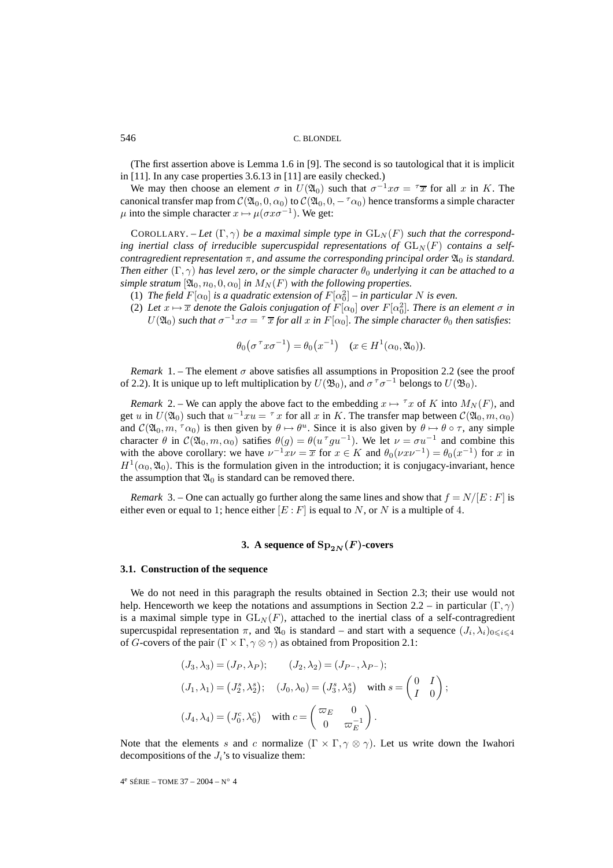(The first assertion above is Lemma 1.6 in [9]. The second is so tautological that it is implicit in [11]. In any case properties 3.6.13 in [11] are easily checked.)

We may then choose an element  $\sigma$  in  $U(\mathfrak{A}_0)$  such that  $\sigma^{-1}x\sigma = \tau \overline{x}$  for all x in K. The canonical transfer map from  $\mathcal{C}(\mathfrak{A}_0, 0, \alpha_0)$  to  $\mathcal{C}(\mathfrak{A}_0, 0, -\tau_{\alpha_0})$  hence transforms a simple character  $\mu$  into the simple character  $x \mapsto \mu(\sigma x \sigma^{-1})$ . We get:

COROLLARY. – Let  $(\Gamma, \gamma)$  be a maximal simple type in  $GL_N(F)$  such that the corresponding inertial class of irreducible supercuspidal representations of  $GL_N(F)$  contains a self*contragredient representation*  $\pi$ *, and assume the corresponding principal order*  $\mathfrak{A}_0$  *is standard. Then either*  $(\Gamma, \gamma)$  *has level zero, or the simple character*  $\theta_0$  *underlying it can be attached to a simple stratum*  $[\mathfrak{A}_0, n_0, 0, \alpha_0]$  *in*  $M_N(F)$  *with the following properties.* 

- (1) *The field*  $F[\alpha_0]$  *is a quadratic extension of*  $F[\alpha_0^2]$  *in particular* N *is even.*
- (2) Let  $x \mapsto \overline{x}$  denote the Galois conjugation of  $F[\alpha_0]$  over  $F[\alpha_0^2]$ . There is an element  $\sigma$  in  $U(\mathfrak{A}_0)$  *such that*  $\sigma^{-1}x\sigma = \tau \bar{x}$  *for all* x *in* F[ $\alpha_0$ ]*. The simple character*  $\theta_0$  *then satisfies*:

$$
\theta_0(\sigma^{\tau}x\sigma^{-1}) = \theta_0(x^{-1}) \quad (x \in H^1(\alpha_0, \mathfrak{A}_0)).
$$

*Remark* 1. – The element  $\sigma$  above satisfies all assumptions in Proposition 2.2 (see the proof of 2.2). It is unique up to left multiplication by  $U(\mathfrak{B}_0)$ , and  $\sigma^{\tau}\sigma^{-1}$  belongs to  $U(\mathfrak{B}_0)$ .

*Remark* 2. – We can apply the above fact to the embedding  $x \mapsto {^{\tau}x}$  of K into  $M_N(F)$ , and get u in  $U(\mathfrak{A}_0)$  such that  $u^{-1}xu = \tau x$  for all x in K. The transfer map between  $\mathcal{C}(\mathfrak{A}_0,m,\alpha_0)$ and  $\mathcal{C}(\mathfrak{A}_0,m, \tau_{\alpha_0})$  is then given by  $\theta \mapsto \theta^u$ . Since it is also given by  $\theta \mapsto \theta \circ \tau$ , any simple character  $\theta$  in  $\mathcal{C}(\mathfrak{A}_0,m,\alpha_0)$  satifies  $\theta(g) = \theta(u^{\tau}gu^{-1})$ . We let  $\nu = \sigma u^{-1}$  and combine this with the above corollary: we have  $v^{-1}xv = \overline{x}$  for  $x \in K$  and  $\theta_0(vxv^{-1}) = \theta_0(x^{-1})$  for x in  $H^1(\alpha_0,\mathfrak{A}_0)$ . This is the formulation given in the introduction; it is conjugacy-invariant, hence the assumption that  $\mathfrak{A}_0$  is standard can be removed there.

*Remark* 3. – One can actually go further along the same lines and show that  $f = N/[E : F]$  is either even or equal to 1; hence either  $[E : F]$  is equal to N, or N is a multiple of 4.

# **3.** A sequence of  $Sp_{2N}(F)$ -covers

#### **3.1. Construction of the sequence**

We do not need in this paragraph the results obtained in Section 2.3; their use would not help. Henceworth we keep the notations and assumptions in Section 2.2 – in particular  $(\Gamma, \gamma)$ is a maximal simple type in  $GL_N(F)$ , attached to the inertial class of a self-contragredient supercuspidal representation  $\pi$ , and  $\mathfrak{A}_0$  is standard – and start with a sequence  $(J_i, \lambda_i)_{0 \leq i \leq 4}$ of G-covers of the pair  $(\Gamma \times \Gamma, \gamma \otimes \gamma)$  as obtained from Proposition 2.1:

$$
(J_3, \lambda_3) = (J_P, \lambda_P); \qquad (J_2, \lambda_2) = (J_{P^-}, \lambda_{P^-});
$$
  

$$
(J_1, \lambda_1) = (J_2^s, \lambda_2^s); \quad (J_0, \lambda_0) = (J_3^s, \lambda_3^s) \quad \text{with } s = \begin{pmatrix} 0 & I \\ I & 0 \end{pmatrix};
$$
  

$$
(J_4, \lambda_4) = (J_0^c, \lambda_0^c) \quad \text{with } c = \begin{pmatrix} \varpi_E & 0 \\ 0 & \varpi_E^{-1} \end{pmatrix}.
$$

Note that the elements s and c normalize  $(\Gamma \times \Gamma, \gamma \otimes \gamma)$ . Let us write down the Iwahori decompositions of the  $J_i$ 's to visualize them: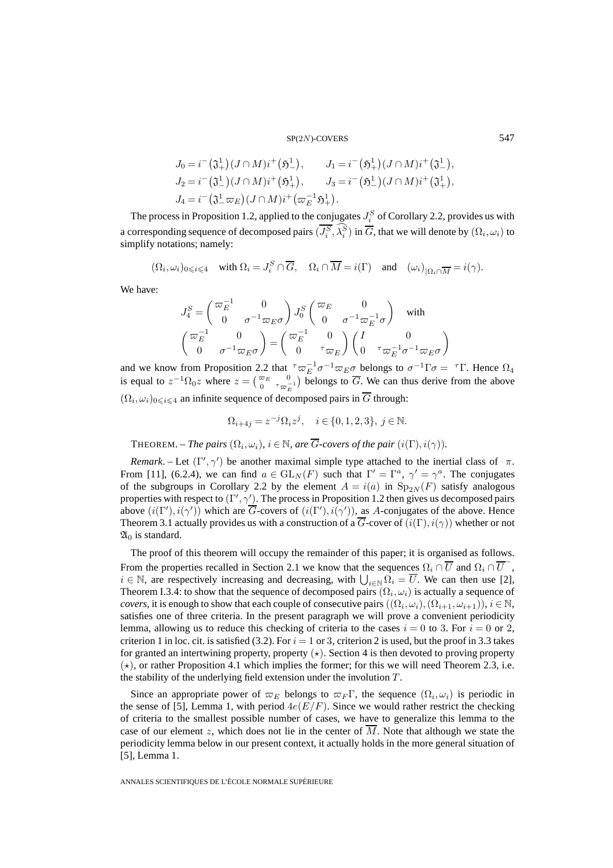$$
J_0 = i^-(\mathfrak{J}^1_+)(J \cap M)i^+(\mathfrak{H}^1_-), \qquad J_1 = i^-(\mathfrak{H}^1_+)(J \cap M)i^+(\mathfrak{J}^1_-),
$$
  
\n
$$
J_2 = i^-(\mathfrak{J}^1_-)(J \cap M)i^+(\mathfrak{H}^1_+), \qquad J_3 = i^-(\mathfrak{H}^1_-)(J \cap M)i^+(\mathfrak{J}^1_+),
$$
  
\n
$$
J_4 = i^-(\mathfrak{J}^1_- \varpi_E)(J \cap M)i^+(\varpi_E^{-1} \mathfrak{H}^1_+).
$$

The process in Proposition 1.2, applied to the conjugates  $J_i^S$  of Corollary 2.2, provides us with a corresponding sequence of decomposed pairs  $(J_i^S, \lambda_i^S)$  in  $\overline{G}$ , that we will denote by  $(\Omega_i, \omega_i)$  to simplify notations; namely:

 $(\Omega_i, \omega_i)_{0 \leq i \leq 4}$  with  $\Omega_i = J_i^S \cap \overline{G}$ ,  $\Omega_i \cap \overline{M} = i(\Gamma)$  and  $(\omega_i)_{|\Omega_i \cap \overline{M}} = i(\gamma)$ .

We have:

$$
\begin{split} &J_4^S=\begin{pmatrix}\varpi_E^{-1} & 0\\ 0 & \sigma^{-1}\varpi_E\sigma\end{pmatrix}J_0^S\begin{pmatrix}\varpi_E & 0\\ 0 & \sigma^{-1}\varpi_E^{-1}\sigma\end{pmatrix} \quad\text{with}\\ &\begin{pmatrix}\varpi_E^{-1} & 0\\ 0 & \sigma^{-1}\varpi_E\sigma\end{pmatrix}=\begin{pmatrix}\varpi_E^{-1} & 0\\ 0 & {}^\tau\varpi_E\end{pmatrix}\begin{pmatrix}I & 0\\ 0 & {}^\tau\varpi_E^{-1}\sigma^{-1}\varpi_E\sigma\end{pmatrix} \end{split}
$$

and we know from Proposition 2.2 that  $\tau \varpi_E^{-1} \sigma^{-1} \varpi_E \sigma$  belongs to  $\sigma^{-1} \Gamma \sigma = \tau \Gamma$ . Hence  $\Omega_4$ is equal to  $z^{-1}\Omega_0 z$  where  $z = \begin{pmatrix} \overline{\omega}_E & 0 \\ 0 & \overline{\omega}_E^{-1} \end{pmatrix}$  belongs to  $\overline{G}$ . We can thus derive from the above  $(\Omega_i, \omega_i)_{0 \leq i \leq 4}$  an infinite sequence of decomposed pairs in  $\overline{G}$  through:

$$
\Omega_{i+4j} = z^{-j} \Omega_i z^j, \quad i \in \{0, 1, 2, 3\}, \ j \in \mathbb{N}.
$$

**THEOREM.** – *The pairs*  $(\Omega_i, \omega_i)$ *,*  $i \in \mathbb{N}$ *, are*  $\overline{G}$ *-covers of the pair*  $(i(\Gamma), i(\gamma))$ *.* 

*Remark*. – Let  $(\Gamma', \gamma')$  be another maximal simple type attached to the inertial class of  $\pi$ . From [11], (6.2.4), we can find  $a \in GL_N(F)$  such that  $\Gamma' = \Gamma^a$ ,  $\gamma' = \gamma^a$ . The conjugates of the subgroups in Corollary 2.2 by the element  $A = i(a)$  in  $Sp_{2N}(F)$  satisfy analogous properties with respect to  $(\Gamma', \gamma')$ . The process in Proposition 1.2 then gives us decomposed pairs above  $(i(\Gamma'), i(\gamma'))$  which are G-covers of  $(i(\Gamma'), i(\gamma'))$ , as A-conjugates of the above. Hence Theorem 3.1 actually provides us with a construction of a  $\overline{G}$ -cover of  $(i(\Gamma), i(\gamma))$  whether or not  $\mathfrak{A}_0$  is standard.

The proof of this theorem will occupy the remainder of this paper; it is organised as follows. From the properties recalled in Section 2.1 we know that the sequences  $\Omega_i \cap \overline{U}$  and  $\Omega_i \cap \overline{U}$ ,  $i \in \mathbb{N}$ , are respectively increasing and decreasing, with  $\bigcup_{i \in \mathbb{N}} \Omega_i = U$ . We can then use [2], Theorem I.3.4: to show that the sequence of decomposed pairs  $(\Omega_i, \omega_i)$  is actually a sequence of *covers*, it is enough to show that each couple of consecutive pairs  $((\Omega_i, \omega_i), (\Omega_{i+1}, \omega_{i+1})), i \in \mathbb{N}$ , satisfies one of three criteria. In the present paragraph we will prove a convenient periodicity lemma, allowing us to reduce this checking of criteria to the cases  $i = 0$  to 3. For  $i = 0$  or 2, criterion 1 in loc. cit. is satisfied (3.2). For  $i = 1$  or 3, criterion 2 is used, but the proof in 3.3 takes for granted an intertwining property, property  $(\star)$ . Section 4 is then devoted to proving property  $(\star)$ , or rather Proposition 4.1 which implies the former; for this we will need Theorem 2.3, i.e. the stability of the underlying field extension under the involution  $T$ .

Since an appropriate power of  $\varpi_E$  belongs to  $\varpi_F \Gamma$ , the sequence  $(\Omega_i, \omega_i)$  is periodic in the sense of [5], Lemma 1, with period  $4e(E/F)$ . Since we would rather restrict the checking of criteria to the smallest possible number of cases, we have to generalize this lemma to the case of our element z, which does not lie in the center of  $\overline{M}$ . Note that although we state the periodicity lemma below in our present context, it actually holds in the more general situation of [5], Lemma 1.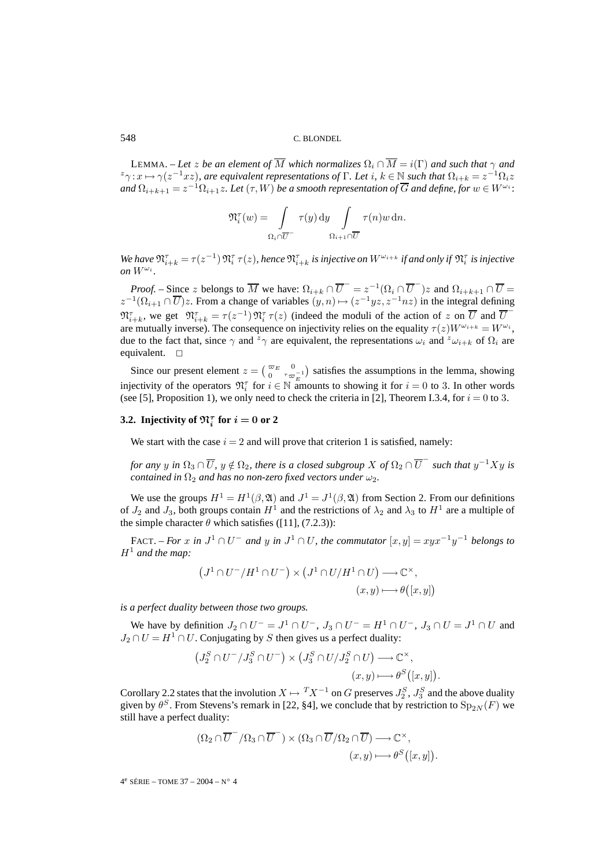LEMMA. – Let z be an element of  $\overline{M}$  which normalizes  $\Omega_i \cap \overline{M} = i(\Gamma)$  and such that  $\gamma$  and  $z_{\gamma}: x \mapsto \gamma(z^{-1}xz)$ , are equivalent representations of  $\Gamma$ . Let  $i, k \in \mathbb{N}$  such that  $\Omega_{i+k} = z^{-1}\Omega_i z$ *and*  $\Omega_{i+k+1} = z^{-1} \Omega_{i+1} z$ *. Let*  $(\tau, W)$  *be a smooth representation of*  $\overline{G}$  *and define, for*  $w \in W^{\omega_i}$ *:* 

$$
\mathfrak{N}_i^{\tau}(w) = \int\limits_{\Omega_i \cap \overline{U}^{-}} \tau(y) \, dy \int\limits_{\Omega_{i+1} \cap \overline{U}} \tau(n) w \, dn.
$$

We have  $\mathfrak{N}_{i+k}^{\tau} = \tau(z^{-1}) \, \mathfrak{N}_{i}^{\tau} \, \tau(z)$ , hence  $\mathfrak{N}_{i+k}^{\tau}$  is injective on  $W^{\omega_{i+k}}$  if and only if  $\mathfrak{N}_{i}^{\tau}$  is injective *on*  $W^{\omega_i}$ *.* 

*Proof.* – Since z belongs to  $\overline{M}$  we have:  $\Omega_{i+k} \cap \overline{U}^- = z^{-1}(\Omega_i \cap \overline{U}^-)z$  and  $\Omega_{i+k+1} \cap \overline{U} =$  $z^{-1}(\Omega_{i+1} \cap \overline{U})z$ . From a change of variables  $(y,n) \mapsto (z^{-1}yz, z^{-1}nz)$  in the integral defining  $\mathfrak{N}_{i+k}^{\tau}$ , we get  $\mathfrak{N}_{i+k}^{\tau} = \tau(z^{-1}) \mathfrak{N}_{i}^{\tau} \tau(z)$  (indeed the moduli of the action of z on  $\overline{U}$  and  $\overline{U}$ are mutually inverse). The consequence on injectivity relies on the equality  $\tau(z)W^{\omega_{i+k}} = W^{\omega_i}$ , due to the fact that, since  $\gamma$  and  $z_{\gamma}$  are equivalent, the representations  $\omega_i$  and  $z_{\omega_{i+k}}$  of  $\Omega_i$  are equivalent.  $\square$ 

Since our present element  $z = \begin{pmatrix} \overline{\omega}_E & 0 \\ 0 & \tau_{\overline{\omega}_E^{-1}} \end{pmatrix}$  satisfies the assumptions in the lemma, showing injectivity of the operators  $\mathfrak{N}_i^{\tau}$  for  $i \in \mathbb{N}$  amounts to showing it for  $i = 0$  to 3. In other words (see [5], Proposition 1), we only need to check the criteria in [2], Theorem I.3.4, for  $i = 0$  to 3.

# **3.2.** Injectivity of  $\mathfrak{N}_i^{\tau}$  for  $i = 0$  or 2

We start with the case  $i = 2$  and will prove that criterion 1 is satisfied, namely:

*for any* y *in*  $\Omega_3 \cap \overline{U}$ ,  $y \notin \Omega_2$ , there is a closed subgroup X of  $\Omega_2 \cap \overline{U}^-$  such that  $y^{-1}Xy$  is *contained in*  $\Omega_2$  *and has no non-zero fixed vectors under*  $\omega_2$ *.* 

We use the groups  $H^1 = H^1(\beta, \mathfrak{A})$  and  $J^1 = J^1(\beta, \mathfrak{A})$  from Section 2. From our definitions of  $J_2$  and  $J_3$ , both groups contain  $H^1$  and the restrictions of  $\lambda_2$  and  $\lambda_3$  to  $H^1$  are a multiple of the simple character  $\theta$  which satisfies ([11], (7.2.3)):

FACT. – *For* x *in*  $J^1 \cap U^-$  *and* y *in*  $J^1 \cap U$ *, the commutator*  $[x, y] = xyx^{-1}y^{-1}$  *belongs to*  $H^1$  and the map:

$$
(J1 \cap U^- / H1 \cap U^-) \times (J1 \cap U / H1 \cap U) \longrightarrow \mathbb{C}^{\times},
$$
  

$$
(x, y) \longmapsto \theta([x, y])
$$

*is a perfect duality between those two groups.*

We have by definition  $J_2 \cap U^- = J^1 \cap U^-$ ,  $J_3 \cap U^- = H^1 \cap U^-$ ,  $J_3 \cap U = J^1 \cap U$  and  $J_2 \cap U = H^1 \cap U$ . Conjugating by S then gives us a perfect duality:

$$
(J_2^S \cap U^- / J_3^S \cap U^-) \times (J_3^S \cap U / J_2^S \cap U) \longrightarrow \mathbb{C}^\times,
$$
  

$$
(x, y) \longmapsto \theta^S([x, y]).
$$

Corollary 2.2 states that the involution  $X \mapsto TX^{-1}$  on G preserves  $J_2^S$ ,  $J_3^S$  and the above duality given by  $\theta^S$ . From Stevens's remark in [22, §4], we conclude that by restriction to  $Sp_{2N}(F)$  we still have a perfect duality:

$$
(\Omega_2 \cap \overline{U}^-/\Omega_3 \cap \overline{U}^-) \times (\Omega_3 \cap \overline{U}/\Omega_2 \cap \overline{U}) \longrightarrow \mathbb{C}^{\times},
$$
  

$$
(x, y) \longmapsto \theta^S([x, y]).
$$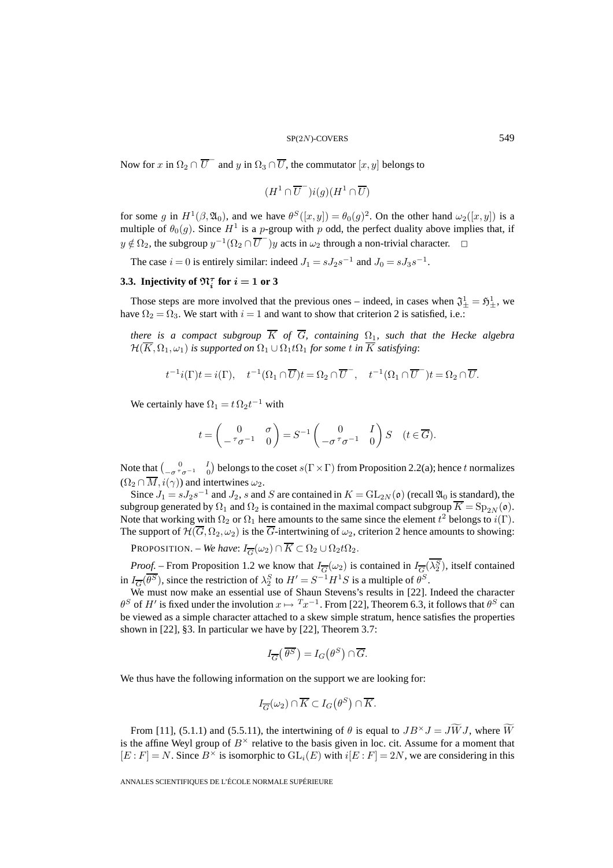Now for x in  $\Omega_2 \cap \overline{U}^-$  and y in  $\Omega_3 \cap \overline{U}$ , the commutator  $[x, y]$  belongs to

$$
(H^1\cap \overline{U}^-)i(g)(H^1\cap \overline{U})
$$

for some g in  $H^1(\beta,\mathfrak{A}_0)$ , and we have  $\theta^S([x,y]) = \theta_0(g)^2$ . On the other hand  $\omega_2([x,y])$  is a multiple of  $\theta_0(g)$ . Since  $H^1$  is a p-group with p odd, the perfect duality above implies that, if  $y \notin \Omega_2$ , the subgroup  $y^{-1}(\Omega_2 \cap \overline{U}^-)y$  acts in  $\omega_2$  through a non-trivial character.

The case  $i = 0$  is entirely similar: indeed  $J_1 = sJ_2s^{-1}$  and  $J_0 = sJ_3s^{-1}$ .

# **3.3.** Injectivity of  $\mathfrak{N}_i^{\tau}$  for  $i = 1$  or 3

Those steps are more involved that the previous ones – indeed, in cases when  $\mathfrak{J}^1_{\pm} = \mathfrak{H}^1_{\pm}$ , we have  $\Omega_2 = \Omega_3$ . We start with  $i = 1$  and want to show that criterion 2 is satisfied, i.e.:

*there is a compact subgroup*  $\overline{K}$  *of*  $\overline{G}$ *, containing*  $\Omega_1$ *, such that the Hecke algebra*  $\mathcal{H}(\overline{K},\Omega_1,\omega_1)$  *is supported on*  $\Omega_1 \cup \Omega_1 t \Omega_1$  *for some t in*  $\overline{K}$  *satisfying*:

$$
t^{-1}i(\Gamma)t = i(\Gamma), \quad t^{-1}(\Omega_1 \cap \overline{U})t = \Omega_2 \cap \overline{U}^-, \quad t^{-1}(\Omega_1 \cap \overline{U}^-)t = \Omega_2 \cap \overline{U}.
$$

We certainly have  $\Omega_1 = t \Omega_2 t^{-1}$  with

$$
t = \begin{pmatrix} 0 & \sigma \\ -\tau \sigma^{-1} & 0 \end{pmatrix} = S^{-1} \begin{pmatrix} 0 & I \\ -\sigma \tau \sigma^{-1} & 0 \end{pmatrix} S \quad (t \in \overline{G}).
$$

Note that  $\left(\begin{matrix} 0 & I \ -\sigma^\tau \sigma^{-1} & 0 \end{matrix}\right)$  belongs to the coset  $s(\Gamma \times \Gamma)$  from Proposition 2.2(a); hence t normalizes  $(\Omega_2 \cap \overline{M}, i(\gamma))$  and intertwines  $\omega_2$ .

Since  $J_1 = sJ_2s^{-1}$  and  $J_2$ , s and S are contained in  $K = GL_{2N}(\mathfrak{o})$  (recall  $\mathfrak{A}_0$  is standard), the subgroup generated by  $\Omega_1$  and  $\Omega_2$  is contained in the maximal compact subgroup  $\overline{K} = \text{Sp}_{2N}(\mathfrak{o})$ . Note that working with  $\Omega_2$  or  $\Omega_1$  here amounts to the same since the element  $t^2$  belongs to  $i(\Gamma)$ . The support of  $\mathcal{H}(\overline{G},\Omega_2,\omega_2)$  is the  $\overline{G}$ -intertwining of  $\omega_2$ , criterion 2 hence amounts to showing:

PROPOSITION. – *We have*:  $I_{\overline{G}}(\omega_2) \cap \overline{K} \subset \Omega_2 \cup \Omega_2 t \Omega_2$ .

*Proof.* – From Proposition 1.2 we know that  $I_{\overline{G}}(\omega_2)$  is contained in  $I_{\overline{G}}(\lambda_2^S)$ , itself contained in  $I_{\overline{G}}(\overline{\theta^S})$ , since the restriction of  $\lambda_2^S$  to  $H' = S^{-1}H^1S$  is a multiple of  $\theta^S$ .

We must now make an essential use of Shaun Stevens's results in [22]. Indeed the character  $\theta^S$  of H' is fixed under the involution  $x \mapsto Tx^{-1}$ . From [22], Theorem 6.3, it follows that  $\theta^S$  can be viewed as a simple character attached to a skew simple stratum, hence satisfies the properties shown in [22], §3. In particular we have by [22], Theorem 3.7:

$$
I_{\overline{G}}\left(\overline{\theta^S}\right) = I_G\left(\theta^S\right) \cap \overline{G}.
$$

We thus have the following information on the support we are looking for:

$$
I_{\overline{G}}(\omega_2) \cap \overline{K} \subset I_G(\theta^S) \cap \overline{K}.
$$

From [11], (5.1.1) and (5.5.11), the intertwining of  $\theta$  is equal to  $JB^{\times}J = J\widetilde{W}J$ , where  $\widetilde{W}$ is the affine Weyl group of  $B^{\times}$  relative to the basis given in loc. cit. Assume for a moment that  $[E : F] = N$ . Since  $B^{\times}$  is isomorphic to  $GL_i(E)$  with  $i[E : F] = 2N$ , we are considering in this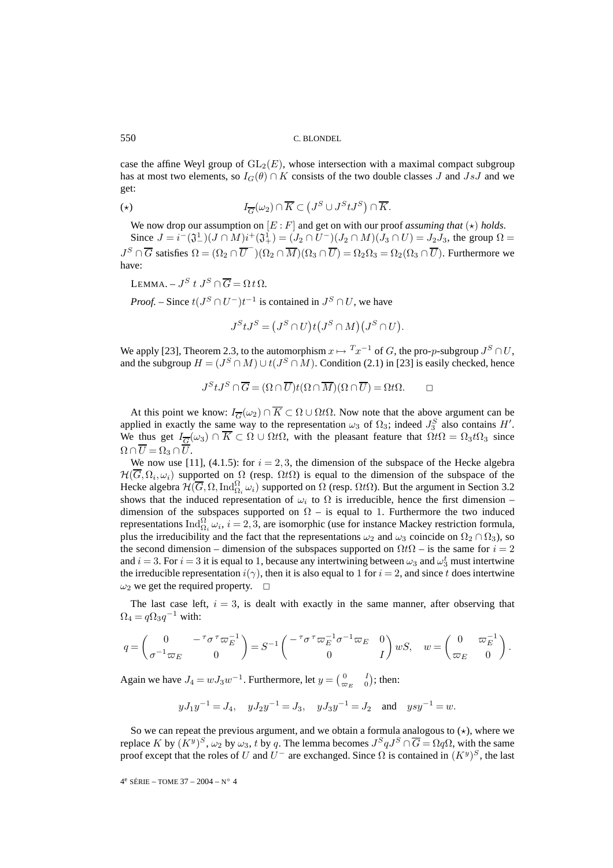case the affine Weyl group of  $GL_2(E)$ , whose intersection with a maximal compact subgroup has at most two elements, so  $I_G(\theta) \cap K$  consists of the two double classes J and JsJ and we get:

$$
I_{\overline{G}}(\omega_2) \cap \overline{K} \subset \left( J^S \cup J^S t J^S \right) \cap \overline{K}.
$$

We now drop our assumption on  $[E: F]$  and get on with our proof *assuming that*  $(\star)$  *holds*.

Since  $J = i^-(\mathfrak{J}^1_-)(J \cap M)i^+(\mathfrak{J}^1_+) = (J_2 \cap U^-)(J_2 \cap M)(J_3 \cap U) = J_2J_3$ , the group  $\Omega =$  $J^S \cap \overline{G}$  satisfies  $\Omega = (\Omega_2 \cap \overline{U}^{\perp})(\Omega_2 \cap \overline{M})(\Omega_3 \cap \overline{U}) = \Omega_2 \Omega_3 = \Omega_2(\Omega_3 \cap \overline{U})$ . Furthermore we have:

LEMMA. –  $J^S$  t  $J^S \cap \overline{G} = \Omega t \Omega$ .

*Proof.* – Since  $t(J^S \cap U^-)t^{-1}$  is contained in  $J^S \cap U$ , we have

$$
J^S t J^S = (J^S \cap U) t (J^S \cap M) (J^S \cap U).
$$

We apply [23], Theorem 2.3, to the automorphism  $x \mapsto {^{T}}x^{-1}$  of G, the pro-p-subgroup  $J^{S} \cap U$ , and the subgroup  $H = (J^S \cap M) \cup t(J^S \cap M)$ . Condition (2.1) in [23] is easily checked, hence

$$
J^S t J^S \cap \overline{G} = (\Omega \cap \overline{U}) t (\Omega \cap \overline{M}) (\Omega \cap \overline{U}) = \Omega t \Omega.
$$

At this point we know:  $I_{\overline{G}}(\omega_2) \cap \overline{K} \subset \Omega \cup \Omega t\Omega$ . Now note that the above argument can be applied in exactly the same way to the representation  $\omega_3$  of  $\Omega_3$ ; indeed  $J_3^S$  also contains  $H'$ . We thus get  $I_{\overline{G}}(\omega_3) \cap \overline{K} \subset \Omega \cup \Omega t\Omega$ , with the pleasant feature that  $\Omega t\Omega = \Omega_3 t\Omega_3$  since  $\Omega \cap \overline{U} = \Omega_3 \cap \overline{U}.$ 

We now use [11], (4.1.5): for  $i = 2, 3$ , the dimension of the subspace of the Hecke algebra  $\mathcal{H}(\overline{G},\Omega_i,\omega_i)$  supported on  $\Omega$  (resp.  $\Omega t\Omega$ ) is equal to the dimension of the subspace of the Hecke algebra  $\mathcal{H}(\overline{G},\Omega,\text{Ind}_{\Omega_i}^{\Omega}\omega_i)$  supported on  $\overline{\Omega}$  (resp.  $\Omega t\Omega$ ). But the argument in Section 3.2 shows that the induced representation of  $\omega_i$  to  $\Omega$  is irreducible, hence the first dimension – dimension of the subspaces supported on  $\Omega$  – is equal to 1. Furthermore the two induced representations  $\text{Ind}_{\Omega_i}^{\Omega} \omega_i$ ,  $i = 2, 3$ , are isomorphic (use for instance Mackey restriction formula, plus the irreducibility and the fact that the representations  $\omega_2$  and  $\omega_3$  coincide on  $\Omega_2 \cap \Omega_3$ ), so the second dimension – dimension of the subspaces supported on  $\Omega t\Omega$  – is the same for  $i = 2$ and  $i = 3$ . For  $i = 3$  it is equal to 1, because any intertwining between  $\omega_3$  and  $\omega_3^t$  must intertwine the irreducible representation  $i(\gamma)$ , then it is also equal to 1 for  $i = 2$ , and since t does intertwine  $\omega_2$  we get the required property.  $\square$ 

The last case left,  $i = 3$ , is dealt with exactly in the same manner, after observing that  $\Omega_4 = q \Omega_3 q^{-1}$  with:

$$
q = \begin{pmatrix} 0 & -\tau \sigma^{\tau} \varpi_E^{-1} \\ \sigma^{-1} \varpi_E & 0 \end{pmatrix} = S^{-1} \begin{pmatrix} -\tau \sigma^{\tau} \varpi_E^{-1} \sigma^{-1} \varpi_E & 0 \\ 0 & I \end{pmatrix} wS, \quad w = \begin{pmatrix} 0 & \varpi_E^{-1} \\ \varpi_E & 0 \end{pmatrix}.
$$

Again we have  $J_4 = wJ_3w^{-1}$ . Furthermore, let  $y = \begin{pmatrix} 0 & I \\ \varpi_E & 0 \end{pmatrix}$ ; then:

$$
yJ_1y^{-1} = J_4
$$
,  $yJ_2y^{-1} = J_3$ ,  $yJ_3y^{-1} = J_2$  and  $ysy^{-1} = w$ .

So we can repeat the previous argument, and we obtain a formula analogous to  $(\star)$ , where we replace K by  $(K^y)^S$ ,  $\omega_2$  by  $\omega_3$ , t by q. The lemma becomes  $J^S q J^S \cap \overline{G} = \Omega q \Omega$ , with the same proof except that the roles of U and  $U^-$  are exchanged. Since  $\Omega$  is contained in  $(K^y)^S$ , the last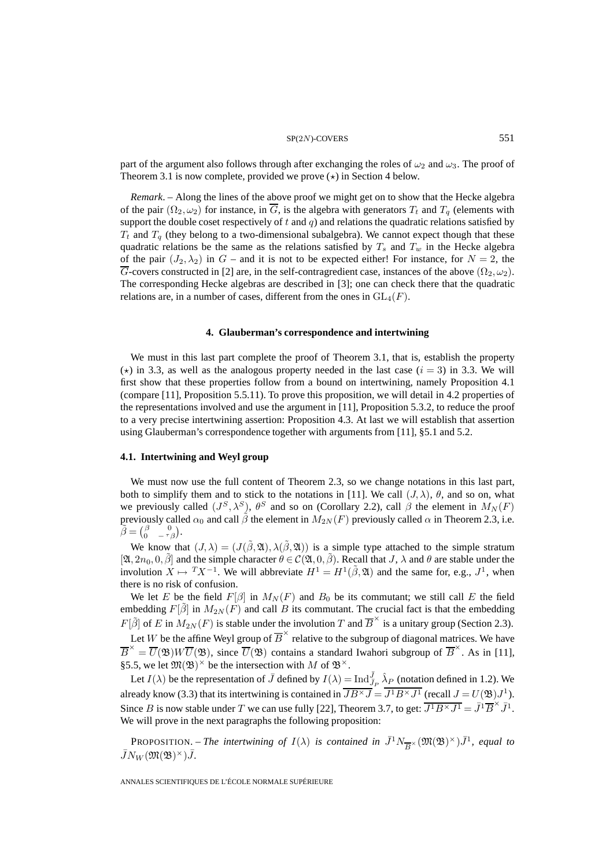#### $SP(2N)$ -COVERS 551

part of the argument also follows through after exchanging the roles of  $\omega_2$  and  $\omega_3$ . The proof of Theorem 3.1 is now complete, provided we prove  $(\star)$  in Section 4 below.

*Remark*. – Along the lines of the above proof we might get on to show that the Hecke algebra of the pair  $(\Omega_2, \omega_2)$  for instance, in  $\overline{G}$ , is the algebra with generators  $T_t$  and  $T_q$  (elements with support the double coset respectively of  $t$  and  $q$ ) and relations the quadratic relations satisfied by  $T_t$  and  $T_q$  (they belong to a two-dimensional subalgebra). We cannot expect though that these quadratic relations be the same as the relations satisfied by  $T_s$  and  $T_w$  in the Hecke algebra of the pair  $(J_2, \lambda_2)$  in  $G$  – and it is not to be expected either! For instance, for  $N = 2$ , the  $\overline{G}$ -covers constructed in [2] are, in the self-contragredient case, instances of the above  $(\Omega_2, \omega_2)$ . The corresponding Hecke algebras are described in [3]; one can check there that the quadratic relations are, in a number of cases, different from the ones in  $GL_4(F)$ .

# **4. Glauberman's correspondence and intertwining**

We must in this last part complete the proof of Theorem 3.1, that is, establish the property ( $\star$ ) in 3.3, as well as the analogous property needed in the last case ( $i = 3$ ) in 3.3. We will first show that these properties follow from a bound on intertwining, namely Proposition 4.1 (compare [11], Proposition 5.5.11). To prove this proposition, we will detail in 4.2 properties of the representations involved and use the argument in [11], Proposition 5.3.2, to reduce the proof to a very precise intertwining assertion: Proposition 4.3. At last we will establish that assertion using Glauberman's correspondence together with arguments from [11], §5.1 and 5.2.

#### **4.1. Intertwining and Weyl group**

We must now use the full content of Theorem 2.3, so we change notations in this last part, both to simplify them and to stick to the notations in [11]. We call  $(J, \lambda)$ ,  $\theta$ , and so on, what we previously called  $(J^S, \lambda^S)$ ,  $\theta^S$  and so on (Corollary 2.2), call  $\beta$  the element in  $M_N(F)$ previously called  $\alpha_0$  and call  $\tilde{\beta}$  the element in  $M_{2N}(F)$  previously called  $\alpha$  in Theorem 2.3, i.e.  $\widetilde{\beta} = \begin{pmatrix} \beta & 0 \\ 0 & -\tau \beta \end{pmatrix}.$ 

We know that  $(J, \lambda) = (J(\tilde{\beta}, \mathfrak{A}), \lambda(\tilde{\beta}, \mathfrak{A}))$  is a simple type attached to the simple stratum  $[\mathfrak{A}, 2n_0, 0, \tilde{\beta}]$  and the simple character  $\theta \in \mathcal{C}(\mathfrak{A}, 0, \tilde{\beta})$ . Recall that J,  $\lambda$  and  $\theta$  are stable under the involution  $X \mapsto TX^{-1}$ . We will abbreviate  $H^1 = H^1(\tilde{\beta}, \mathfrak{A})$  and the same for, e.g.,  $J^1$ , when there is no risk of confusion.

We let E be the field  $F[\beta]$  in  $M_N(F)$  and  $B_0$  be its commutant; we still call E the field embedding  $F[\tilde{\beta}]$  in  $M_{2N}(F)$  and call B its commutant. The crucial fact is that the embedding  $F[\tilde{\beta}]$  of E in  $M_{2N}(F)$  is stable under the involution T and  $\overline{B}^{\times}$  is a unitary group (Section 2.3).

Let W be the affine Weyl group of  $\overline{B}^{\times}$  relative to the subgroup of diagonal matrices. We have  $\overline{B}^{\times} = \overline{U}(\mathfrak{B})W\overline{U}(\mathfrak{B})$ , since  $\overline{U}(\mathfrak{B})$  contains a standard Iwahori subgroup of  $\overline{B}^{\times}$ . As in [11], §5.5, we let  $\mathfrak{M}(\mathfrak{B})^{\times}$  be the intersection with M of  $\mathfrak{B}^{\times}$ .

Let  $I(\lambda)$  be the representation of  $\bar{J}$  defined by  $I(\lambda) = \text{Ind}_{\bar{J}_P}^{\bar{J}} \hat{\lambda}_P$  (notation defined in 1.2). We already know (3.3) that its intertwining is contained in  $\overline{JB^{\times}J} = \overline{J^1B^{\times}J^1}$  (recall  $J = U(\mathfrak{B})J^1$ ). Since B is now stable under T we can use fully [22], Theorem 3.7, to get:  $\overline{J^1B^{\times}J^1} = \overline{J}^1\overline{B}^{\times} \overline{J}^1$ . We will prove in the next paragraphs the following proposition:

**PROPOSITION.** – *The intertwining of*  $I(\lambda)$  *is contained in*  $\bar{J}^1 N_{\overline{R}^{\times}} (\mathfrak{M}(\mathfrak{B})^{\times}) \bar{J}^1$ *, equal to*  $\overline{J}N_W (\mathfrak{M}(\mathfrak{B})^{\times})\overline{J}$ .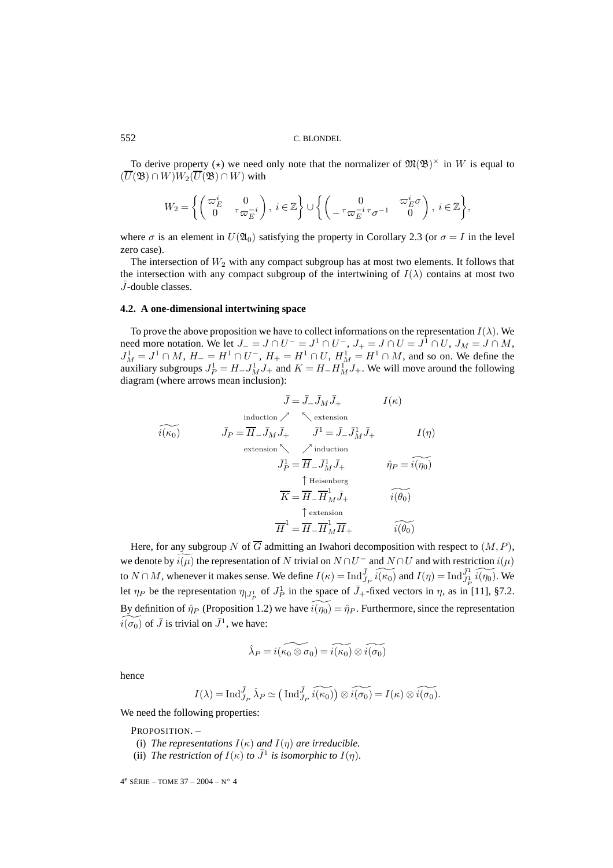To derive property ( $\star$ ) we need only note that the normalizer of  $\mathfrak{M}(\mathfrak{B})^{\times}$  in W is equal to  $(\overline{U}(\mathfrak{B}) \cap W)W_2(\overline{U}(\mathfrak{B}) \cap W)$  with

$$
W_2 = \left\{ \begin{pmatrix} \varpi_E^i & 0 \\ 0 & \tau \varpi_E^{-i} \end{pmatrix}, i \in \mathbb{Z} \right\} \cup \left\{ \begin{pmatrix} 0 & \varpi_E^i \sigma \\ -\tau \varpi_E^{-i} \tau \sigma^{-1} & 0 \end{pmatrix}, i \in \mathbb{Z} \right\},\
$$

where  $\sigma$  is an element in  $U(\mathfrak{A}_0)$  satisfying the property in Corollary 2.3 (or  $\sigma = I$  in the level zero case).

The intersection of  $W_2$  with any compact subgroup has at most two elements. It follows that the intersection with any compact subgroup of the intertwining of  $I(\lambda)$  contains at most two  $\bar{J}$ -double classes.

# **4.2. A one-dimensional intertwining space**

To prove the above proposition we have to collect informations on the representation  $I(\lambda)$ . We need more notation. We let  $J_-=J\cap U^-=J^1\cap U^-$ ,  $J_+=J\cap U=J^1\cap U$ ,  $J_M=J\cap M$ ,  $J_M^1 = J^1 \cap M$ ,  $H_- = H^1 \cap U^-$ ,  $H_+ = H^1 \cap U$ ,  $H_M^1 = H^1 \cap M$ , and so on. We define the auxiliary subgroups  $J_P^1 = H_- J_M^1 J_+$  and  $K = H_- H_M^1 J_+$ . We will move around the following diagram (where arrows mean inclusion):

$$
\bar{J} = \bar{J}_{-} \bar{J}_{M} \bar{J}_{+}
$$
\n
$$
I(\kappa)
$$
\ninduction\n
$$
\bar{J}_{P} = \overline{H}_{-} \bar{J}_{M} \bar{J}_{+}
$$
\n
$$
\bar{J}_{P} = \overline{H}_{-} \bar{J}_{M} \bar{J}_{+}
$$
\n
$$
\bar{J}_{P} = \overline{H}_{-} \bar{J}_{M} \bar{J}_{+}
$$
\n
$$
\bar{J}_{P} = \overline{H}_{-} \bar{J}_{M}^{1} \bar{J}_{+}
$$
\n
$$
\hat{J}_{P} = \overline{H}_{-} \bar{J}_{M}^{1} \bar{J}_{+}
$$
\n
$$
\hat{\eta}_{P} = \hat{i(\eta_{0})}
$$
\n
$$
\overline{K} = \overline{H}_{-} \overline{H}_{M}^{1} \bar{J}_{+}
$$
\n
$$
\hat{i(\theta_{0})}
$$
\n
$$
\overline{H}^{1} = \overline{H}_{-} \overline{H}_{M}^{1} \overline{H}_{+}
$$
\n
$$
\hat{i(\theta_{0})}
$$

Here, for any subgroup N of  $\overline{G}$  admitting an Iwahori decomposition with respect to  $(M, P)$ , we denote by  $i(\mu)$  the representation of N trivial on  $N \cap U^-$  and  $N \cap U$  and with restriction  $i(\mu)$ to  $N \cap M$ , whenever it makes sense. We define  $I(\kappa) = \text{Ind}_{\bar{J}_P}^{\bar{J}} \widetilde{i(\kappa_0)}$  and  $I(\eta) = \text{Ind}_{\bar{J}_P}^{\bar{J}_1} \widetilde{i(\eta_0)}$ . We let  $\eta_P$  be the representation  $\eta_{|J_P^1}$  of  $J_P^1$  in the space of  $\bar{J}_+$ -fixed vectors in  $\eta$ , as in [11], §7.2. By definition of  $\hat{\eta}_P$  (Proposition 1.2) we have  $\hat{i(\eta_0)} = \hat{\eta}_P$ . Furthermore, since the representation  $\widetilde{i(\sigma_0)}$  of  $\bar{J}$  is trivial on  $\bar{J}^1$ , we have:

$$
\hat{\lambda}_P=i(\widetilde{\kappa_0\otimes\sigma_0})=\widetilde{i(\kappa_0)}\otimes\widetilde{i(\sigma_0)}
$$

hence

$$
I(\lambda) = \mathrm{Ind}_{J_P}^{\overline{J}} \hat{\lambda}_P \simeq (\mathrm{Ind}_{J_P}^{\overline{J}} \widetilde{i(\kappa_0)}) \otimes \widetilde{i(\sigma_0)} = I(\kappa) \otimes \widetilde{i(\sigma_0)}.
$$

We need the following properties:

PROPOSITION. -

- (i) *The representations*  $I(\kappa)$  *and*  $I(\eta)$  *are irreducible.*
- (ii) *The restriction of*  $I(\kappa)$  *to*  $\bar{J}^1$  *is isomorphic to*  $I(\eta)$ *.*

 $4^e$  SÉRIE – TOME 37 – 2004 – N° 4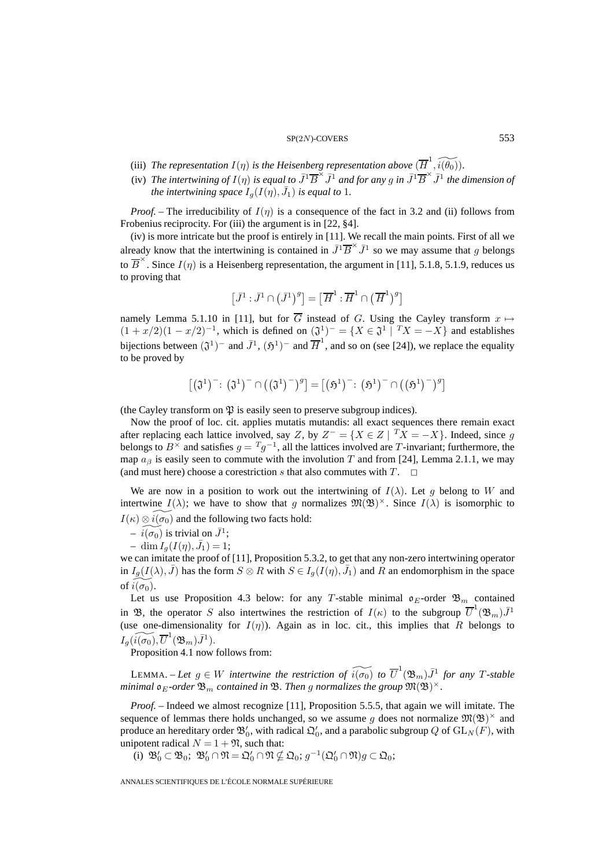- (iii) The representation  $I(\eta)$  is the Heisenberg representation above  $(\overline{H}^1, \widetilde{i(\theta_0)})$ .
- (iv) *The intertwining of*  $I(\eta)$  *is equal to*  $\overline{J}^1\overline{B}^{\times} \overline{J}^1$  *and for any* g *in*  $\overline{J}^1\overline{B}^{\times} \overline{J}^1$  *the dimension of the intertwining space*  $I_g(I(\eta), \bar{J}_1)$  *is equal to* 1.

*Proof.* – The irreducibility of  $I(\eta)$  is a consequence of the fact in 3.2 and (ii) follows from Frobenius reciprocity. For (iii) the argument is in [22,  $\S 4$ ].

(iv) is more intricate but the proof is entirely in [11]. We recall the main points. First of all we already know that the intertwining is contained in  $\bar{J}^1\overline{B}^{\times}\bar{J}^1$  so we may assume that g belongs to  $\overline{B}^{\times}$ . Since  $I(\eta)$  is a Heisenberg representation, the argument in [11], 5.1.8, 5.1.9, reduces us to proving that

$$
\left[\bar{J}^1:\bar{J}^1\cap\left(\bar{J}^1\right)^g\right]=\left[\,\overline{H}^1:\overline{H}^1\cap\left(\,\overline{H}^1\right)^g\right]
$$

namely Lemma 5.1.10 in [11], but for  $\overline{G}$  instead of G. Using the Cayley transform  $x \mapsto$  $(1 + x/2)(1 - x/2)^{-1}$ , which is defined on  $(\mathfrak{J}^1)^{-} = \{X \in \mathfrak{J}^1 | T X = -X\}$  and establishes bijections between  $(\mathfrak{J}^1)^-$  and  $\bar{J}^1$ ,  $(\mathfrak{H}^1)^-$  and  $\bar{H}^1$ , and so on (see [24]), we replace the equality to be proved by

$$
\left[\left(\mathfrak{J}^1\right)^{-}\colon\left(\mathfrak{J}^1\right)^{-}\cap\left(\left(\mathfrak{J}^1\right)^{-}\right)^{g}\right] = \left[\left(\mathfrak{H}^1\right)^{-}\colon\left(\mathfrak{H}^1\right)^{-}\cap\left(\left(\mathfrak{H}^1\right)^{-}\right)^{g}\right]
$$

(the Cayley transform on  $\mathfrak P$  is easily seen to preserve subgroup indices).

Now the proof of loc. cit. applies mutatis mutandis: all exact sequences there remain exact after replacing each lattice involved, say Z, by  $Z^- = \{X \in Z \mid T X = -X\}$ . Indeed, since g belongs to  $B^{\times}$  and satisfies  $g = Tg^{-1}$ , all the lattices involved are T-invariant; furthermore, the map  $a_{\beta}$  is easily seen to commute with the involution T and from [24], Lemma 2.1.1, we may (and must here) choose a corestriction s that also commutes with  $T$ .  $\Box$ 

We are now in a position to work out the intertwining of  $I(\lambda)$ . Let g belong to W and intertwine  $I(\lambda)$ ; we have to show that g normalizes  $\mathfrak{M}(\mathfrak{B})^{\times}$ . Since  $I(\lambda)$  is isomorphic to  $I(\kappa) \otimes \tilde{i(\sigma_0)}$  and the following two facts hold:

 $- i(\sigma_0)$  is trivial on  $\bar{J}^1$ ;

 $-\dim I_g(I(\eta), \bar{J}_1)=1;$ 

we can imitate the proof of [11], Proposition 5.3.2, to get that any non-zero intertwining operator in  $I_g(I(\lambda), \bar{J})$  has the form  $S \otimes R$  with  $S \in I_g(I(\eta), \bar{J}_1)$  and  $R$  an endomorphism in the space of  $\widetilde{i(\sigma_0)}$ .

Let us use Proposition 4.3 below: for any T-stable minimal  $\mathfrak{o}_E$ -order  $\mathfrak{B}_m$  contained in B, the operator S also intertwines the restriction of  $I(\kappa)$  to the subgroup  $\overline{U}^1(\mathfrak{B}_m)\overline{J}^1$ (use one-dimensionality for  $I(\eta)$ ). Again as in loc. cit., this implies that R belongs to  $I_g(\widetilde{i(\sigma_0)}, \overline{U}^1(\mathfrak{B}_m)\bar{J}^1).$ 

Proposition 4.1 now follows from:

LEMMA. – Let  $g \in W$  intertwine the restriction of  $\widetilde{i(\sigma_0)}$  to  $\overline{U}^1(\mathfrak{B}_m)\overline{J}^1$  for any T-stable *minimal*  $\mathfrak{o}_E$ -order  $\mathfrak{B}_m$  *contained in*  $\mathfrak{B}$ *. Then g normalizes the group*  $\mathfrak{M}(\mathfrak{B})^{\times}$ *.* 

*Proof. –* Indeed we almost recognize [11], Proposition 5.5.5, that again we will imitate. The sequence of lemmas there holds unchanged, so we assume g does not normalize  $\mathfrak{M}(\mathfrak{B})^{\times}$  and produce an hereditary order  $\mathfrak{B}_0'$ , with radical  $\mathfrak{Q}_0'$ , and a parabolic subgroup  $Q$  of  $\mathrm{GL}_N(F)$ , with unipotent radical  $N = 1 + \mathfrak{N}$ , such that:

(i)  $\mathfrak{B}'_0 \subset \mathfrak{B}_0$ ;  $\mathfrak{B}'_0 \cap \mathfrak{N} = \mathfrak{Q}'_0 \cap \mathfrak{N} \nsubseteq \mathfrak{Q}_0$ ;  $g^{-1}(\mathfrak{Q}'_0 \cap \mathfrak{N})g \subset \mathfrak{Q}_0$ ;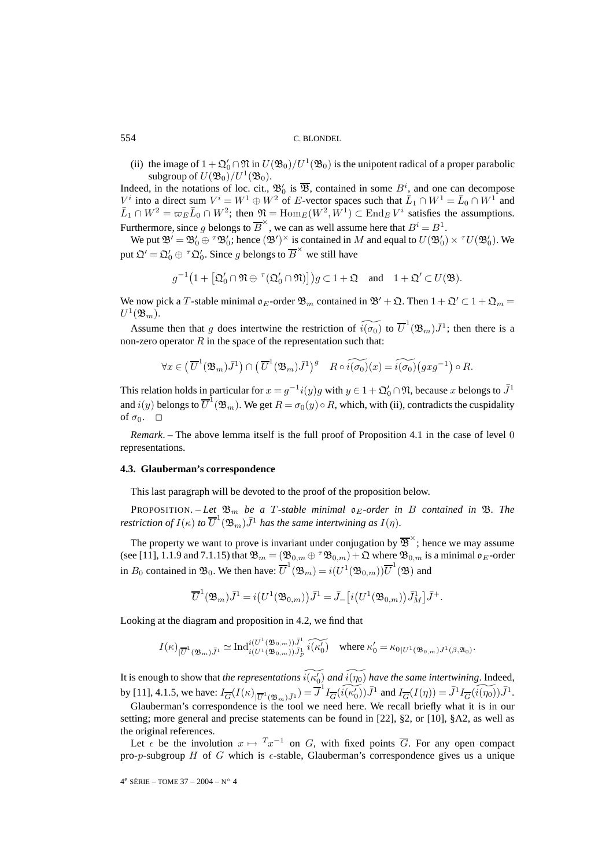(ii) the image of  $1 + \mathfrak{Q}'_0 \cap \mathfrak{N}$  in  $U(\mathfrak{B}_0)/U^1(\mathfrak{B}_0)$  is the unipotent radical of a proper parabolic subgroup of  $U(\mathfrak{B}_0)/U^1(\mathfrak{B}_0)$ .

Indeed, in the notations of loc. cit.,  $\mathfrak{B}'_0$  is  $\overline{\mathfrak{B}}$ , contained in some  $B^i$ , and one can decompose  $V^i$  into a direct sum  $V^i = W^1 \oplus W^2$  of E-vector spaces such that  $\bar{L}_1 \cap W^1 = \bar{L}_0 \cap W^1$  and  $\bar{L}_1 \cap W^2 = \varpi_E \bar{L}_0 \cap W^2$ ; then  $\mathfrak{N} = \text{Hom}_E(W^2, W^1) \subset \text{End}_E V^i$  satisfies the assumptions. Furthermore, since q belongs to  $\overline{B}^{\times}$ , we can as well assume here that  $B^i = B^1$ .

We put  $\mathfrak{B}' = \mathfrak{B}'_0 \oplus \tau \mathfrak{B}'_0$ ; hence  $(\mathfrak{B}')^{\times}$  is contained in M and equal to  $U(\mathfrak{B}'_0) \times \tau U(\mathfrak{B}'_0)$ . We put  $\mathfrak{Q}' = \mathfrak{Q}'_0 \oplus {}^{\tau} \mathfrak{Q}'_0$ . Since g belongs to  $\overline{B}^{\times}$  we still have

$$
g^{-1}\big(1+\big[\mathfrak{Q}_0'\cap\mathfrak{N}\oplus\ {}^{\tau}(\mathfrak{Q}_0'\cap\mathfrak{N})\big]\big)g\subset 1+\mathfrak{Q}\quad\text{and}\quad 1+\mathfrak{Q}'\subset U(\mathfrak{B}).
$$

We now pick a T-stable minimal  $\mathfrak{o}_E$ -order  $\mathfrak{B}_m$  contained in  $\mathfrak{B}' + \mathfrak{Q}$ . Then  $1 + \mathfrak{Q}' \subset 1 + \mathfrak{Q}_m =$  $U^1(\mathfrak{B}_m).$ 

Assume then that g does intertwine the restriction of  $\widetilde{i(\sigma_0)}$  to  $\overline{U}^1(\mathfrak{B}_m)\overline{J}^1$ ; then there is a non-zero operator  $R$  in the space of the representation such that:

$$
\forall x \in \left(\overline{U}^1(\mathfrak{B}_m)\overline{J}^1\right) \cap \left(\overline{U}^1(\mathfrak{B}_m)\overline{J}^1\right)^g \quad R \circ \widetilde{i(\sigma_0)}(x) = \widetilde{i(\sigma_0)}\left(gxg^{-1}\right) \circ R.
$$

This relation holds in particular for  $x = g^{-1}i(y)g$  with  $y \in 1 + \mathfrak{Q}'_0 \cap \mathfrak{N}$ , because  $x$  belongs to  $\bar{J}^1$ and  $i(y)$  belongs to  $\overline{U}^1(\mathfrak{B}_m)$ . We get  $R = \sigma_0(y) \circ R$ , which, with (ii), contradicts the cuspidality of  $\sigma_0$ .  $\Box$ 

*Remark*. – The above lemma itself is the full proof of Proposition 4.1 in the case of level 0 representations.

# **4.3. Glauberman's correspondence**

This last paragraph will be devoted to the proof of the proposition below.

PROPOSITION. – Let  $\mathfrak{B}_m$  be a T-stable minimal  $\mathfrak{O}_E$ -order in B contained in  $\mathfrak{B}$ . The *restriction of*  $I(\kappa)$  *to*  $\overline{U}^1(\mathfrak{B}_m) \bar{J}^1$  *has the same intertwining as*  $I(\eta)$ *.* 

The property we want to prove is invariant under conjugation by  $\overline{\mathcal{B}}^{\times}$ ; hence we may assume (see [11], 1.1.9 and 7.1.15) that  $\mathfrak{B}_m = (\mathfrak{B}_{0,m} \oplus \tau \mathfrak{B}_{0,m}) + \mathfrak{Q}$  where  $\mathfrak{B}_{0,m}$  is a minimal  $\mathfrak{o}_E$ -order in  $B_0$  contained in  $\mathfrak{B}_0$ . We then have:  $\overline{U}^1(\mathfrak{B}_m) = i(U^1(\mathfrak{B}_{0,m}))\overline{U}^1(\mathfrak{B})$  and

$$
\overline{U}^1(\mathfrak{B}_m)\bar{J}^1=i\big(U^1(\mathfrak{B}_{0,m})\big)\bar{J}^1=\bar{J}_-\big[i\big(U^1(\mathfrak{B}_{0,m})\big)\bar{J}^1_M\big]\bar{J}^+.
$$

Looking at the diagram and proposition in 4.2, we find that

$$
I(\kappa)_{|\overline{U}^1(\mathfrak{B}_m)\overline{J}^1} \simeq \mathrm{Ind}_{i(U^1(\mathfrak{B}_{0,m}))\overline{J}^1_p}^{i(U^1(\mathfrak{B}_{0,m}))\overline{J}^1_p} \widetilde{i(\kappa'_0)} \quad \text{where } \kappa'_0 = \kappa_{0|U^1(\mathfrak{B}_{0,m})J^1(\beta,\mathfrak{A}_0)}.
$$

It is enough to show that *the representations*  $\widetilde{i(\kappa_0')}$  *and*  $\widetilde{i(\eta_0)}$  *have the same intertwining*. Indeed, by [11], 4.1.5, we have:  $I_{\overline{G}}(I(\kappa)|_{\overline{U}^1(\mathfrak{B}_m),\overline{J}^1}) = \overline{J}^1 I_{\overline{G}}(\widetilde{i(\kappa'_0)}) \overline{J}^1$  and  $I_{\overline{G}}(I(\eta)) = \overline{J}^1 I_{\overline{G}}(\widetilde{i(\eta_0)}) \overline{J}^1$ .

Glauberman's correspondence is the tool we need here. We recall briefly what it is in our setting; more general and precise statements can be found in [22], §2, or [10], §A2, as well as the original references.

Let  $\epsilon$  be the involution  $x \mapsto {^{T}}x^{-1}$  on G, with fixed points  $\overline{G}$ . For any open compact pro-p-subgroup H of G which is  $\epsilon$ -stable, Glauberman's correspondence gives us a unique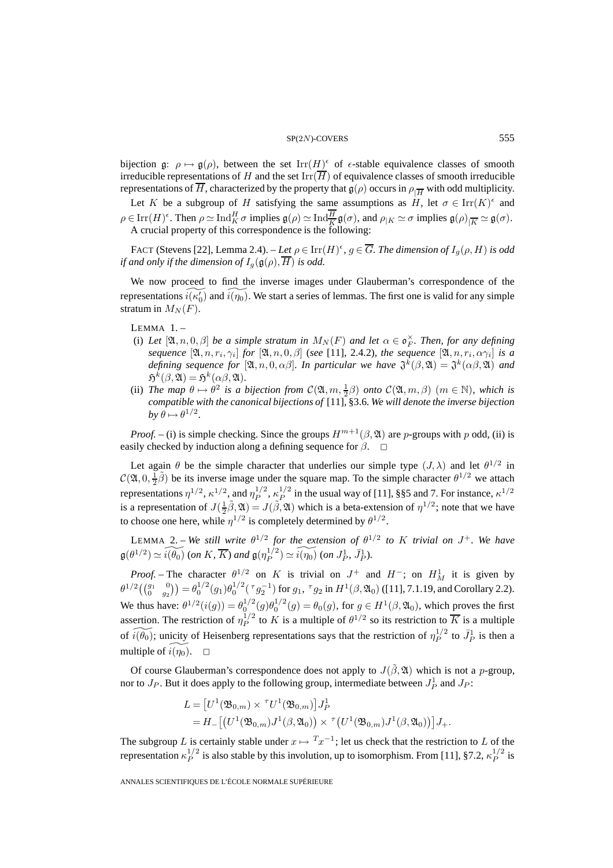#### $SP(2N)$ -COVERS 555

bijection g:  $\rho \mapsto g(\rho)$ , between the set Irr $(H)^\epsilon$  of  $\epsilon$ -stable equivalence classes of smooth irreducible representations of H and the set  $\text{Irr}(\overline{H})$  of equivalence classes of smooth irreducible representations of  $\overline{H}$ , characterized by the property that  $\mathfrak{g}(\rho)$  occurs in  $\rho_{\overline{H}}$  with odd multiplicity.

Let K be a subgroup of H satisfying the same assumptions as  $H$ , let  $\sigma \in \text{Irr}(K)^{\epsilon}$  and  $\rho \in \text{Irr}(H)^{\epsilon}$ . Then  $\rho \simeq \text{Ind}_{K}^{H} \sigma$  implies  $\mathfrak{g}(\rho) \simeq \text{Ind}_{\overline{K}}^{H} \mathfrak{g}(\sigma)$ , and  $\rho_{|K} \simeq \sigma$  implies  $\mathfrak{g}(\rho)_{|\overline{K}} \simeq \mathfrak{g}(\sigma)$ . A crucial property of this correspondence is the following:

FACT (Stevens [22], Lemma 2.4). – *Let*  $\rho \in \text{Irr}(H)^\epsilon$ ,  $g \in \overline{G}$ . The dimension of  $I_g(\rho, H)$  is odd *if and only if the dimension of*  $I_q(\mathfrak{g}(\rho), \overline{H})$  *is odd.* 

We now proceed to find the inverse images under Glauberman's correspondence of the representations  $\widetilde{i(\kappa_0)}$  and  $\widetilde{i(\eta_0)}$ . We start a series of lemmas. The first one is valid for any simple stratum in  $M_N(F)$ .

LEMMA 1. –

- (i) Let  $[\mathfrak{A}, n, 0, \beta]$  be a simple stratum in  $M_N(F)$  and let  $\alpha \in \mathfrak{o}_F^\times$ . Then, for any defining *sequence*  $[\mathfrak{A}, n, r_i, \gamma_i]$  *for*  $[\mathfrak{A}, n, 0, \beta]$  (*see* [11], 2.4.2)*, the sequence*  $[\mathfrak{A}, n, r_i, \alpha \gamma_i]$  *is a defining sequence for* [ $\mathfrak{A}, n, 0, \alpha\beta$ ]. In particular we have  $\mathfrak{J}^k(\beta, \mathfrak{A}) = \mathfrak{J}^k(\alpha\beta, \mathfrak{A})$  and  $\mathfrak{H}^k(\beta,\mathfrak{A}) = \mathfrak{H}^k(\alpha\beta,\mathfrak{A})$ *.*
- (ii) *The map*  $\theta \mapsto \theta^2$  *is a bijection from*  $C(\mathfrak{A}, m, \frac{1}{2}\beta)$  *onto*  $C(\mathfrak{A}, m, \beta)$   $(m \in \mathbb{N})$ *, which is compatible with the canonical bijections of* [11], §3.6*. We will denote the inverse bijection*  $b\mathbf{v} \theta \mapsto \theta^{1/2}$ .

*Proof.* – (i) is simple checking. Since the groups  $H^{m+1}(\beta, \mathfrak{A})$  are p-groups with p odd, (ii) is easily checked by induction along a defining sequence for  $\beta$ .

Let again  $\theta$  be the simple character that underlies our simple type  $(J, \lambda)$  and let  $\theta^{1/2}$  in  $\mathcal{C}(\mathfrak{A}, 0, \frac{1}{2}, \tilde{\beta})$  be its inverse image under the square map. To the simple character  $\theta^{1/2}$  we attach representations  $\eta^{1/2}$ ,  $\kappa^{1/2}$ , and  $\eta_P^{1/2}$ ,  $\kappa_P^{1/2}$  in the usual way of [11], §§5 and 7. For instance,  $\kappa^{1/2}$ is a representation of  $J(\frac{1}{2}\tilde{\beta}, \mathfrak{A}) = J(\tilde{\beta}, \mathfrak{A})$  which is a beta-extension of  $\eta^{1/2}$ ; note that we have to choose one here, while  $\eta^{1/2}$  is completely determined by  $\theta^{1/2}$ .

LEMMA 2. – *We still write*  $\theta^{1/2}$  *for the extension of*  $\theta^{1/2}$  *to* K *trivial on*  $J^+$ *. We have*  $\mathfrak{g}(\theta^{1/2}) \simeq \widetilde{i(\theta_0)}$  (*on* K,  $\overline{K}$ ) and  $\mathfrak{g}(\eta_P^{1/2}) \simeq \widetilde{i(\eta_0)}$  (*on*  $J_P^1$ ,  $\overline{J_P^1}$ ).

*Proof.* – The character  $\theta^{1/2}$  on K is trivial on  $J^+$  and  $H^-$ ; on  $H^1_M$  it is given by  $\theta^{1/2} \left( \begin{pmatrix} g_1 & 0 \\ 0 & g_2 \end{pmatrix} \right) = \theta_0^{1/2} (g_1) \theta_0^{1/2} (\tau g_2^{-1})$  for  $g_1$ ,  $\tau g_2$  in  $H^1(\beta, \mathfrak{A}_0)$  ([11], 7.1.19, and Corollary 2.2). We thus have:  $\theta^{1/2}(i(g)) = \theta_0^{1/2}(g)\theta_0^{1/2}(g) = \theta_0(g)$ , for  $g \in H^1(\beta, \mathfrak{A}_0)$ , which proves the first assertion. The restriction of  $\eta_P^{1/2}$  to K is a multiple of  $\theta^{1/2}$  so its restriction to  $\overline{K}$  is a multiple of  $\widetilde{i(\theta_0)}$ ; unicity of Heisenberg representations says that the restriction of  $\eta_P^{1/2}$  to  $\bar{J}_P^1$  is then a multiple of  $\widetilde{i(\eta_0)}$ .  $\Box$ 

Of course Glauberman's correspondence does not apply to  $J(\tilde{\beta}, \mathfrak{A})$  which is not a p-group, nor to  $J_P$ . But it does apply to the following group, intermediate between  $J_P^1$  and  $J_P$ :

$$
L = [U1(\mathfrak{B}_{0,m}) \times {}^{\tau}U1(\mathfrak{B}_{0,m})]J_P^1
$$
  
=  $H_-[(U1(\mathfrak{B}_{0,m})J1(\beta,\mathfrak{A}_0)) \times {}^{\tau} (U1(\mathfrak{B}_{0,m})J1(\beta,\mathfrak{A}_0))]J_+.$ 

The subgroup L is certainly stable under  $x \mapsto T_x^{-1}$ ; let us check that the restriction to L of the representation  $\kappa_P^{1/2}$  is also stable by this involution, up to isomorphism. From [11], §7.2,  $\kappa_P^{1/2}$  is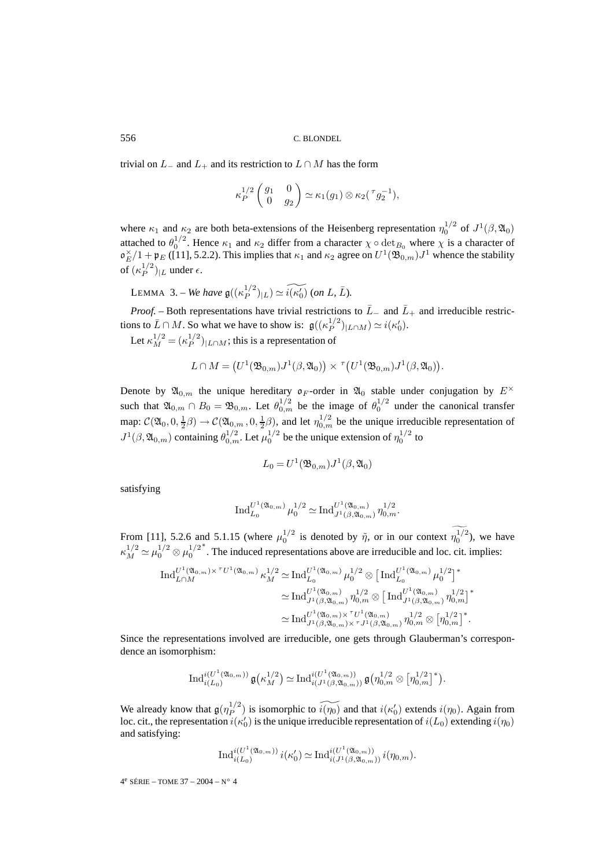trivial on  $L_-\,$  and  $L_+$  and its restriction to  $L \cap M$  has the form

$$
\kappa_P^{1/2}\begin{pmatrix} g_1 & 0 \\ 0 & g_2 \end{pmatrix} \simeq \kappa_1(g_1) \otimes \kappa_2(\tau g_2^{-1}),
$$

where  $\kappa_1$  and  $\kappa_2$  are both beta-extensions of the Heisenberg representation  $\eta_0^{1/2}$  of  $J^1(\beta, \mathfrak{A}_0)$ attached to  $\theta_0^{1/2}$ . Hence  $\kappa_1$  and  $\kappa_2$  differ from a character  $\chi \circ \det_{B_0}$  where  $\chi$  is a character of  $\mathfrak{o}_E^{\times}/1 + \mathfrak{p}_E$  ([11], 5.2.2). This implies that  $\kappa_1$  and  $\kappa_2$  agree on  $U^1(\mathfrak{B}_{0,m})J^1$  whence the stability of  $(\kappa_P^{1/2})_{|L}$  under  $\epsilon$ .

LEMMA 3. – *We have*  $\mathfrak{g}((\kappa_P^{1/2})_{|L}) \simeq \widetilde{i(\kappa_0')}$  (on L,  $\overline{L}$ ).

*Proof.* – Both representations have trivial restrictions to  $\overline{L}_-$  and  $\overline{L}_+$  and irreducible restrictions to  $\bar{L} \cap M$ . So what we have to show is:  $\mathfrak{g}((\kappa_P^{1/2})_{|L \cap M}) \simeq i(\kappa_0').$ Let  $\kappa_M^{1/2} = (\kappa_P^{1/2})_{|L \cap M}$ ; this is a representation of

$$
L \cap M = \big( U^1(\mathfrak{B}_{0,m}) J^1(\beta, \mathfrak{A}_0) \big) \times {}^{\tau} \big( U^1(\mathfrak{B}_{0,m}) J^1(\beta, \mathfrak{A}_0) \big).
$$

Denote by  $\mathfrak{A}_{0,m}$  the unique hereditary  $\mathfrak{o}_F$ -order in  $\mathfrak{A}_0$  stable under conjugation by  $E^\times$ such that  $\mathfrak{A}_{0,m} \cap B_0 = \mathfrak{B}_{0,m}$ . Let  $\theta_{0,m}^{1/2}$  be the image of  $\theta_0^{1/2}$  under the canonical transfer map:  $C(\mathfrak{A}_0, 0, \frac{1}{2}, \beta) \to C(\mathfrak{A}_{0,m}, 0, \frac{1}{2}, \beta)$ , and let  $\eta_{0,m}^{1/2}$  be the unique irreducible representation of  $J^1(\beta,\mathfrak{A}_{0,m})$  containing  $\theta_{0,m}^{1/2}$ . Let  $\mu_0^{1/2}$  be the unique extension of  $\eta_0^{1/2}$  to

$$
L_0 = U^1(\mathfrak{B}_{0,m})J^1(\beta,\mathfrak{A}_0)
$$

satisfying

$$
\operatorname{Ind}_{L_0}^{U^1(\mathfrak{A}_{0,m})} \mu_0^{1/2} \simeq \operatorname{Ind}_{J^1(\beta,\mathfrak{A}_{0,m})}^{U^1(\mathfrak{A}_{0,m})} \eta_{0,m}^{1/2}.
$$

From [11], 5.2.6 and 5.1.15 (where  $\mu_0^{1/2}$  is denoted by  $\tilde{\eta}$ , or in our context  $\eta_0^{1/2}$ ), we have  $\kappa_M^{1/2} \simeq \mu_0^{1/2} \otimes \mu_0^{1/2}$ ∗ . The induced representations above are irreducible and loc. cit. implies:

$$
\operatorname{Ind}_{L\cap M}^{U^{1}(\mathfrak{A}_{0,m})\times^{\tau}U^{1}(\mathfrak{A}_{0,m})}\kappa_{M}^{1/2}\simeq \operatorname{Ind}_{L_{0}}^{U^{1}(\mathfrak{A}_{0,m})}\mu_{0}^{1/2}\otimes\left[\operatorname{Ind}_{L_{0}}^{U^{1}(\mathfrak{A}_{0,m})}\mu_{0}^{1/2}\right]^{*}
$$

$$
\simeq \operatorname{Ind}_{J^{1}(\beta,\mathfrak{A}_{0,m})}^{U^{1}(\mathfrak{A}_{0,m})}\eta_{0,m}^{1/2}\otimes\left[\operatorname{Ind}_{J^{1}(\beta,\mathfrak{A}_{0,m})}^{U^{1}(\mathfrak{A}_{0,m})}\eta_{0,m}^{1/2}\right]^{*}
$$

$$
\simeq \operatorname{Ind}_{J^{1}(\beta,\mathfrak{A}_{0,m})\times^{\tau}U^{1}(\mathfrak{A}_{0,m})}^{U^{1}(\mathfrak{A}_{0,m})}\eta_{0,m}^{1/2}\otimes\left[\eta_{0,m}^{1/2}\right]^{*}.
$$

Since the representations involved are irreducible, one gets through Glauberman's correspondence an isomorphism:

$$
\operatorname{Ind}_{i(L_0)}^{i(U^1(\mathfrak{A}_{0,m}))} \mathfrak{g} \bigl( \kappa_M^{1/2} \bigr) \simeq \operatorname{Ind}_{i(J^1(\beta,\mathfrak{A}_{0,m}))}^{i(U^1(\mathfrak{A}_{0,m}))} \mathfrak{g} \bigl( \eta_{0,m}^{1/2} \otimes \bigl[ \eta_{0,m}^{1/2} \bigr]^* \bigr).
$$

We already know that  $\mathfrak{g}(\eta_P^{1/2})$  is isomorphic to  $\widetilde{i(\eta_0)}$  and that  $i(\kappa_0')$  extends  $i(\eta_0)$ . Again from loc. cit., the representation  $i(\kappa'_0)$  is the unique irreducible representation of  $i(L_0)$  extending  $i(\eta_0)$ and satisfying:

$$
\operatorname{Ind}_{i(L_0)}^{i(U^1(\mathfrak{A}_{0,m}))} i(\kappa'_0) \simeq \operatorname{Ind}_{i(J^1(\beta,\mathfrak{A}_{0,m}))}^{i(U^1(\mathfrak{A}_{0,m}))} i(\eta_{0,m}).
$$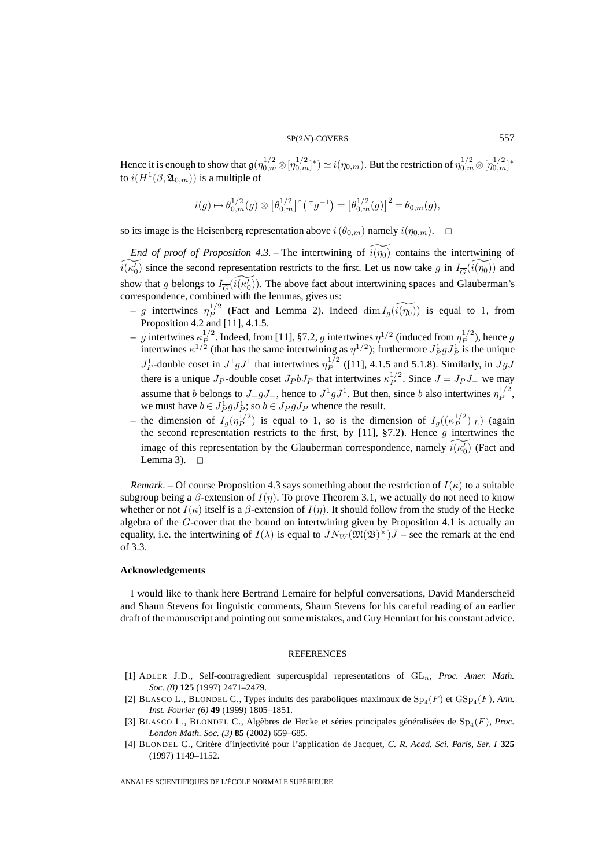Hence it is enough to show that  $\frak g(\eta_{0,m}^{1/2}\otimes [\eta_{0,m}^{1/2}]^*)\simeq i(\eta_{0,m}).$  But the restriction of  $\eta_{0,m}^{1/2}\otimes [\eta_{0,m}^{1/2}]^*$ to  $i(H^1(\beta,\mathfrak{A}_{0,m}))$  is a multiple of

$$
i(g) \mapsto \theta_{0,m}^{1/2}(g) \otimes \left[\theta_{0,m}^{1/2}\right]^* \left(\tau g^{-1}\right) = \left[\theta_{0,m}^{1/2}(g)\right]^2 = \theta_{0,m}(g),
$$

so its image is the Heisenberg representation above  $i(\theta_{0,m})$  namely  $i(\eta_{0,m})$ .  $\Box$ 

*End of proof of Proposition 4.3.* – The intertwining of  $\widetilde{i(\eta_0)}$  contains the intertwining of  $\widetilde{i(\kappa_0)}$  since the second representation restricts to the first. Let us now take g in  $I_{\overline{G}}(\widetilde{i(\eta_0)})$  and show that g belongs to  $I_{\overline{G}}(\widetilde{i(\kappa_0)}).$  The above fact about intertwining spaces and Glauberman's correspondence, combined with the lemmas, gives us:

- g intertwines  $\eta_P^{1/2}$  (Fact and Lemma 2). Indeed  $\dim I_g(\widetilde{i(\eta_0)})$  is equal to 1, from Proposition 4.2 and [11], 4.1.5.
- $-g$  intertwines  $\kappa_P^{1/2}$ . Indeed, from [11], §7.2, g intertwines  $\eta^{1/2}$  (induced from  $\eta_P^{1/2}$ ), hence g intertwines  $\kappa^{1/2}$  (that has the same intertwining as  $\eta^{1/2}$ ); furthermore  $J_P^1 g J_P^1$  is the unique  $J_P^1$ -double coset in  $J^1 g J^1$  that intertwines  $\eta_P^{1/2}$  ([11], 4.1.5 and 5.1.8). Similarly, in  $JgJ$ there is a unique  $J_P$ -double coset  $J_P b J_P$  that intertwines  $\kappa_P^{1/2}$ . Since  $J = J_P J_-$  we may assume that b belongs to  $J_gJ_\_$ , hence to  $J^1gJ^1$ . But then, since b also intertwines  $\eta_P^{1/2}$ , we must have  $b \in J_P^1 g J_P^1$ ; so  $b \in J_P g J_P$  whence the result.
- the dimension of  $I_g(\eta_P^{1/2})$  is equal to 1, so is the dimension of  $I_g((\kappa_P^{1/2})_{|L})$  (again the second representation restricts to the first, by [11], §7.2). Hence  $g$  intertwines the image of this representation by the Glauberman correspondence, namely  $\widetilde{i(\kappa'_0)}$  (Fact and Lemma 3).  $\Box$

*Remark*. – Of course Proposition 4.3 says something about the restriction of  $I(\kappa)$  to a suitable subgroup being a  $\beta$ -extension of  $I(\eta)$ . To prove Theorem 3.1, we actually do not need to know whether or not  $I(\kappa)$  itself is a  $\beta$ -extension of  $I(\eta)$ . It should follow from the study of the Hecke algebra of the  $\overline{G}$ -cover that the bound on intertwining given by Proposition 4.1 is actually an equality, i.e. the intertwining of  $I(\lambda)$  is equal to  $\bar{J}N_W(\mathfrak{M}(\mathfrak{B})^{\times})\bar{J}$  – see the remark at the end of 3.3.

#### **Acknowledgements**

I would like to thank here Bertrand Lemaire for helpful conversations, David Manderscheid and Shaun Stevens for linguistic comments, Shaun Stevens for his careful reading of an earlier draft of the manuscript and pointing out some mistakes, and Guy Henniart for his constant advice.

# **REFERENCES**

- [1] ADLER J.D., Self-contragredient supercuspidal representations of GLn, *Proc. Amer. Math. Soc. (8)* **125** (1997) 2471–2479.
- [2] BLASCO L., BLONDEL C., Types induits des paraboliques maximaux de  $Sp_4(F)$  et  $GSp_4(F)$ , *Ann. Inst. Fourier (6)* **49** (1999) 1805–1851.
- [3] BLASCO L., BLONDEL C., Algèbres de Hecke et séries principales généralisées de Sp4(F), *Proc. London Math. Soc. (3)* **85** (2002) 659–685.
- [4] BLONDEL C., Critère d'injectivité pour l'application de Jacquet, *C. R. Acad. Sci. Paris, Ser. I* **325** (1997) 1149–1152.